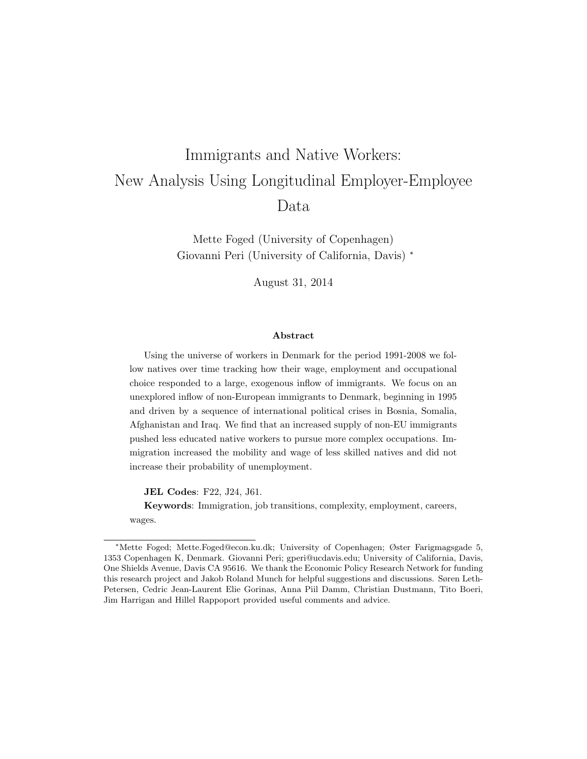# Immigrants and Native Workers: New Analysis Using Longitudinal Employer-Employee Data

Mette Foged (University of Copenhagen) Giovanni Peri (University of California, Davis) <sup>∗</sup>

August 31, 2014

#### Abstract

Using the universe of workers in Denmark for the period 1991-2008 we follow natives over time tracking how their wage, employment and occupational choice responded to a large, exogenous inflow of immigrants. We focus on an unexplored inflow of non-European immigrants to Denmark, beginning in 1995 and driven by a sequence of international political crises in Bosnia, Somalia, Afghanistan and Iraq. We find that an increased supply of non-EU immigrants pushed less educated native workers to pursue more complex occupations. Immigration increased the mobility and wage of less skilled natives and did not increase their probability of unemployment.

JEL Codes: F22, J24, J61.

Keywords: Immigration, job transitions, complexity, employment, careers, wages.

<sup>∗</sup>Mette Foged; Mette.Foged@econ.ku.dk; University of Copenhagen; Øster Farigmagsgade 5, 1353 Copenhagen K, Denmark. Giovanni Peri; gperi@ucdavis.edu; University of California, Davis, One Shields Avenue, Davis CA 95616. We thank the Economic Policy Research Network for funding this research project and Jakob Roland Munch for helpful suggestions and discussions. Søren Leth-Petersen, Cedric Jean-Laurent Elie Gorinas, Anna Piil Damm, Christian Dustmann, Tito Boeri, Jim Harrigan and Hillel Rappoport provided useful comments and advice.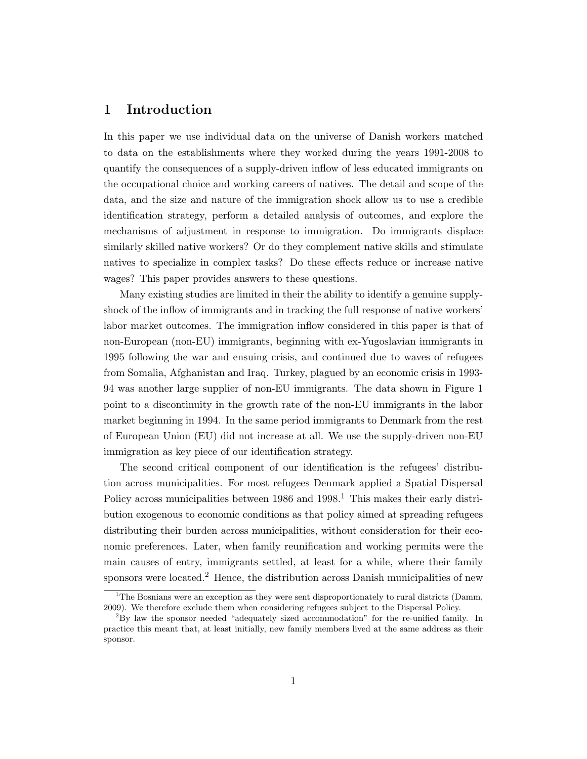# 1 Introduction

In this paper we use individual data on the universe of Danish workers matched to data on the establishments where they worked during the years 1991-2008 to quantify the consequences of a supply-driven inflow of less educated immigrants on the occupational choice and working careers of natives. The detail and scope of the data, and the size and nature of the immigration shock allow us to use a credible identification strategy, perform a detailed analysis of outcomes, and explore the mechanisms of adjustment in response to immigration. Do immigrants displace similarly skilled native workers? Or do they complement native skills and stimulate natives to specialize in complex tasks? Do these effects reduce or increase native wages? This paper provides answers to these questions.

Many existing studies are limited in their the ability to identify a genuine supplyshock of the inflow of immigrants and in tracking the full response of native workers' labor market outcomes. The immigration inflow considered in this paper is that of non-European (non-EU) immigrants, beginning with ex-Yugoslavian immigrants in 1995 following the war and ensuing crisis, and continued due to waves of refugees from Somalia, Afghanistan and Iraq. Turkey, plagued by an economic crisis in 1993- 94 was another large supplier of non-EU immigrants. The data shown in Figure 1 point to a discontinuity in the growth rate of the non-EU immigrants in the labor market beginning in 1994. In the same period immigrants to Denmark from the rest of European Union (EU) did not increase at all. We use the supply-driven non-EU immigration as key piece of our identification strategy.

The second critical component of our identification is the refugees' distribution across municipalities. For most refugees Denmark applied a Spatial Dispersal Policy across municipalities between  $1986$  and  $1998<sup>1</sup>$ . This makes their early distribution exogenous to economic conditions as that policy aimed at spreading refugees distributing their burden across municipalities, without consideration for their economic preferences. Later, when family reunification and working permits were the main causes of entry, immigrants settled, at least for a while, where their family sponsors were located.<sup>2</sup> Hence, the distribution across Danish municipalities of new

<sup>&</sup>lt;sup>1</sup>The Bosnians were an exception as they were sent disproportionately to rural districts (Damm, 2009). We therefore exclude them when considering refugees subject to the Dispersal Policy.

<sup>2</sup>By law the sponsor needed "adequately sized accommodation" for the re-unified family. In practice this meant that, at least initially, new family members lived at the same address as their sponsor.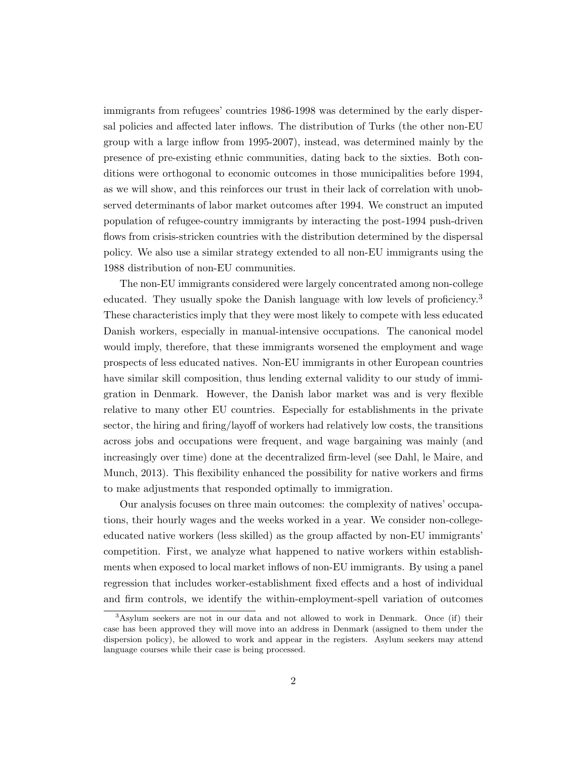immigrants from refugees' countries 1986-1998 was determined by the early dispersal policies and affected later inflows. The distribution of Turks (the other non-EU group with a large inflow from 1995-2007), instead, was determined mainly by the presence of pre-existing ethnic communities, dating back to the sixties. Both conditions were orthogonal to economic outcomes in those municipalities before 1994, as we will show, and this reinforces our trust in their lack of correlation with unobserved determinants of labor market outcomes after 1994. We construct an imputed population of refugee-country immigrants by interacting the post-1994 push-driven flows from crisis-stricken countries with the distribution determined by the dispersal policy. We also use a similar strategy extended to all non-EU immigrants using the 1988 distribution of non-EU communities.

The non-EU immigrants considered were largely concentrated among non-college educated. They usually spoke the Danish language with low levels of proficiency.<sup>3</sup> These characteristics imply that they were most likely to compete with less educated Danish workers, especially in manual-intensive occupations. The canonical model would imply, therefore, that these immigrants worsened the employment and wage prospects of less educated natives. Non-EU immigrants in other European countries have similar skill composition, thus lending external validity to our study of immigration in Denmark. However, the Danish labor market was and is very flexible relative to many other EU countries. Especially for establishments in the private sector, the hiring and firing/layoff of workers had relatively low costs, the transitions across jobs and occupations were frequent, and wage bargaining was mainly (and increasingly over time) done at the decentralized firm-level (see Dahl, le Maire, and Munch, 2013). This flexibility enhanced the possibility for native workers and firms to make adjustments that responded optimally to immigration.

Our analysis focuses on three main outcomes: the complexity of natives' occupations, their hourly wages and the weeks worked in a year. We consider non-collegeeducated native workers (less skilled) as the group affacted by non-EU immigrants' competition. First, we analyze what happened to native workers within establishments when exposed to local market inflows of non-EU immigrants. By using a panel regression that includes worker-establishment fixed effects and a host of individual and firm controls, we identify the within-employment-spell variation of outcomes

<sup>&</sup>lt;sup>3</sup>Asylum seekers are not in our data and not allowed to work in Denmark. Once (if) their case has been approved they will move into an address in Denmark (assigned to them under the dispersion policy), be allowed to work and appear in the registers. Asylum seekers may attend language courses while their case is being processed.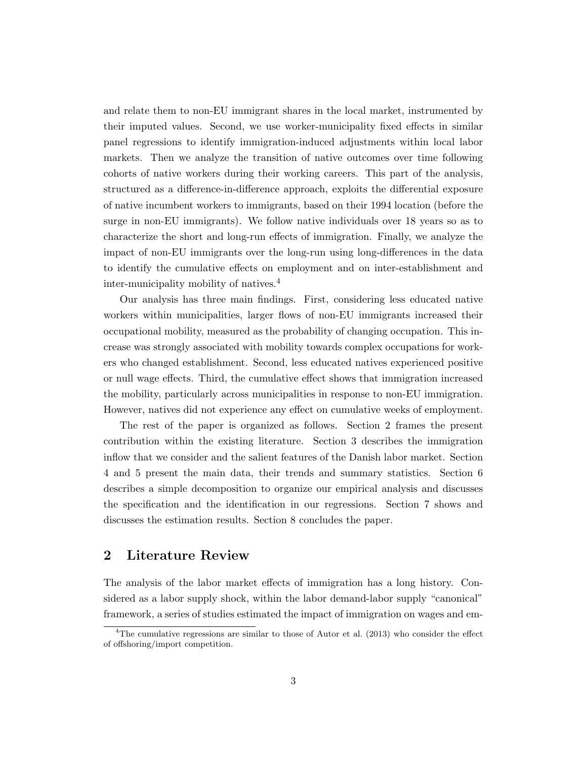and relate them to non-EU immigrant shares in the local market, instrumented by their imputed values. Second, we use worker-municipality fixed effects in similar panel regressions to identify immigration-induced adjustments within local labor markets. Then we analyze the transition of native outcomes over time following cohorts of native workers during their working careers. This part of the analysis, structured as a difference-in-difference approach, exploits the differential exposure of native incumbent workers to immigrants, based on their 1994 location (before the surge in non-EU immigrants). We follow native individuals over 18 years so as to characterize the short and long-run effects of immigration. Finally, we analyze the impact of non-EU immigrants over the long-run using long-differences in the data to identify the cumulative effects on employment and on inter-establishment and inter-municipality mobility of natives.<sup>4</sup>

Our analysis has three main findings. First, considering less educated native workers within municipalities, larger flows of non-EU immigrants increased their occupational mobility, measured as the probability of changing occupation. This increase was strongly associated with mobility towards complex occupations for workers who changed establishment. Second, less educated natives experienced positive or null wage effects. Third, the cumulative effect shows that immigration increased the mobility, particularly across municipalities in response to non-EU immigration. However, natives did not experience any effect on cumulative weeks of employment.

The rest of the paper is organized as follows. Section 2 frames the present contribution within the existing literature. Section 3 describes the immigration inflow that we consider and the salient features of the Danish labor market. Section 4 and 5 present the main data, their trends and summary statistics. Section 6 describes a simple decomposition to organize our empirical analysis and discusses the specification and the identification in our regressions. Section 7 shows and discusses the estimation results. Section 8 concludes the paper.

# 2 Literature Review

The analysis of the labor market effects of immigration has a long history. Considered as a labor supply shock, within the labor demand-labor supply "canonical" framework, a series of studies estimated the impact of immigration on wages and em-

<sup>&</sup>lt;sup>4</sup>The cumulative regressions are similar to those of Autor et al.  $(2013)$  who consider the effect of offshoring/import competition.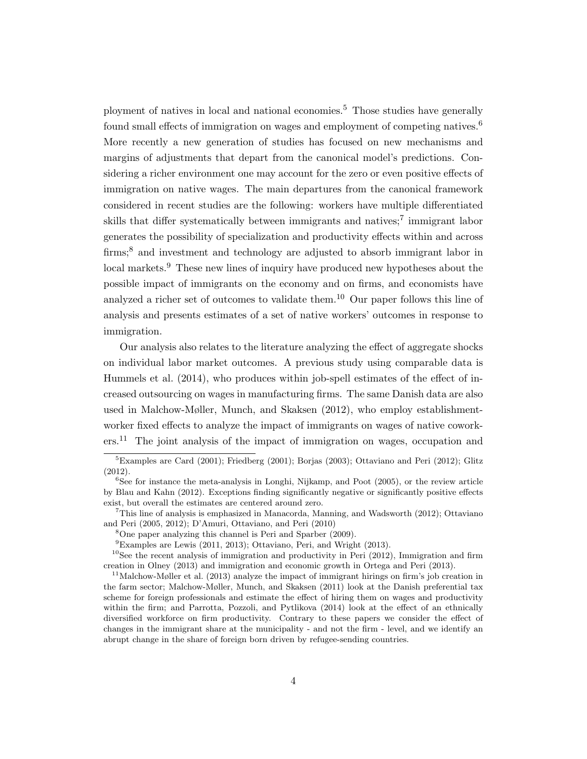ployment of natives in local and national economies.<sup>5</sup> Those studies have generally found small effects of immigration on wages and employment of competing natives.<sup>6</sup> More recently a new generation of studies has focused on new mechanisms and margins of adjustments that depart from the canonical model's predictions. Considering a richer environment one may account for the zero or even positive effects of immigration on native wages. The main departures from the canonical framework considered in recent studies are the following: workers have multiple differentiated skills that differ systematically between immigrants and natives;<sup>7</sup> immigrant labor generates the possibility of specialization and productivity effects within and across firms;<sup>8</sup> and investment and technology are adjusted to absorb immigrant labor in local markets.<sup>9</sup> These new lines of inquiry have produced new hypotheses about the possible impact of immigrants on the economy and on firms, and economists have analyzed a richer set of outcomes to validate them.<sup>10</sup> Our paper follows this line of analysis and presents estimates of a set of native workers' outcomes in response to immigration.

Our analysis also relates to the literature analyzing the effect of aggregate shocks on individual labor market outcomes. A previous study using comparable data is Hummels et al. (2014), who produces within job-spell estimates of the effect of increased outsourcing on wages in manufacturing firms. The same Danish data are also used in Malchow-Møller, Munch, and Skaksen (2012), who employ establishmentworker fixed effects to analyze the impact of immigrants on wages of native coworkers.<sup>11</sup> The joint analysis of the impact of immigration on wages, occupation and

 $5$ Examples are Card (2001); Friedberg (2001); Borjas (2003); Ottaviano and Peri (2012); Glitz (2012).

 ${}^{6}$ See for instance the meta-analysis in Longhi, Nijkamp, and Poot (2005), or the review article by Blau and Kahn (2012). Exceptions finding significantly negative or significantly positive effects exist, but overall the estimates are centered around zero.

<sup>7</sup>This line of analysis is emphasized in Manacorda, Manning, and Wadsworth (2012); Ottaviano and Peri (2005, 2012); D'Amuri, Ottaviano, and Peri (2010)

<sup>8</sup>One paper analyzing this channel is Peri and Sparber (2009).

 ${}^{9}$ Examples are Lewis (2011, 2013); Ottaviano, Peri, and Wright (2013).

 $10$ See the recent analysis of immigration and productivity in Peri (2012), Immigration and firm creation in Olney (2013) and immigration and economic growth in Ortega and Peri (2013).

<sup>&</sup>lt;sup>11</sup>Malchow-Møller et al.  $(2013)$  analyze the impact of immigrant hirings on firm's job creation in the farm sector; Malchow-Møller, Munch, and Skaksen (2011) look at the Danish preferential tax scheme for foreign professionals and estimate the effect of hiring them on wages and productivity within the firm; and Parrotta, Pozzoli, and Pytlikova (2014) look at the effect of an ethnically diversified workforce on firm productivity. Contrary to these papers we consider the effect of changes in the immigrant share at the municipality - and not the firm - level, and we identify an abrupt change in the share of foreign born driven by refugee-sending countries.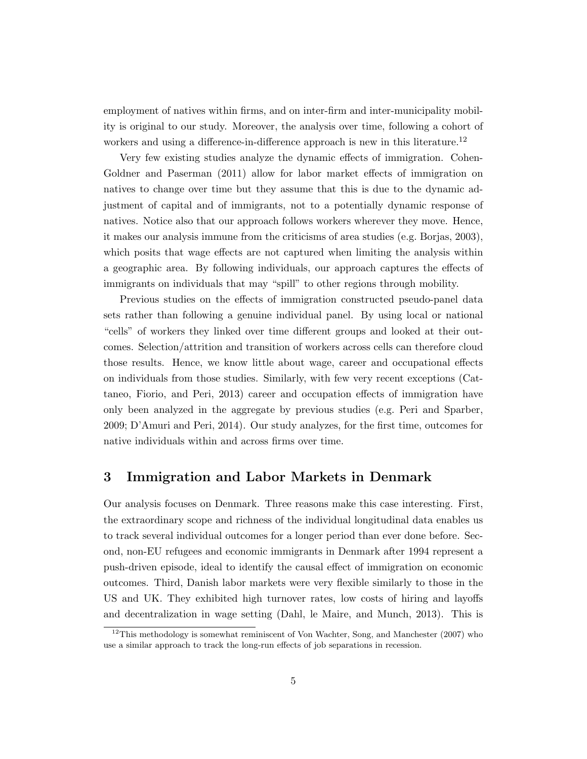employment of natives within firms, and on inter-firm and inter-municipality mobility is original to our study. Moreover, the analysis over time, following a cohort of workers and using a difference-in-difference approach is new in this literature.<sup>12</sup>

Very few existing studies analyze the dynamic effects of immigration. Cohen-Goldner and Paserman (2011) allow for labor market effects of immigration on natives to change over time but they assume that this is due to the dynamic adjustment of capital and of immigrants, not to a potentially dynamic response of natives. Notice also that our approach follows workers wherever they move. Hence, it makes our analysis immune from the criticisms of area studies (e.g. Borjas, 2003), which posits that wage effects are not captured when limiting the analysis within a geographic area. By following individuals, our approach captures the effects of immigrants on individuals that may "spill" to other regions through mobility.

Previous studies on the effects of immigration constructed pseudo-panel data sets rather than following a genuine individual panel. By using local or national "cells" of workers they linked over time different groups and looked at their outcomes. Selection/attrition and transition of workers across cells can therefore cloud those results. Hence, we know little about wage, career and occupational effects on individuals from those studies. Similarly, with few very recent exceptions (Cattaneo, Fiorio, and Peri, 2013) career and occupation effects of immigration have only been analyzed in the aggregate by previous studies (e.g. Peri and Sparber, 2009; D'Amuri and Peri, 2014). Our study analyzes, for the first time, outcomes for native individuals within and across firms over time.

### 3 Immigration and Labor Markets in Denmark

Our analysis focuses on Denmark. Three reasons make this case interesting. First, the extraordinary scope and richness of the individual longitudinal data enables us to track several individual outcomes for a longer period than ever done before. Second, non-EU refugees and economic immigrants in Denmark after 1994 represent a push-driven episode, ideal to identify the causal effect of immigration on economic outcomes. Third, Danish labor markets were very flexible similarly to those in the US and UK. They exhibited high turnover rates, low costs of hiring and layoffs and decentralization in wage setting (Dahl, le Maire, and Munch, 2013). This is

 $12$ This methodology is somewhat reminiscent of Von Wachter, Song, and Manchester (2007) who use a similar approach to track the long-run effects of job separations in recession.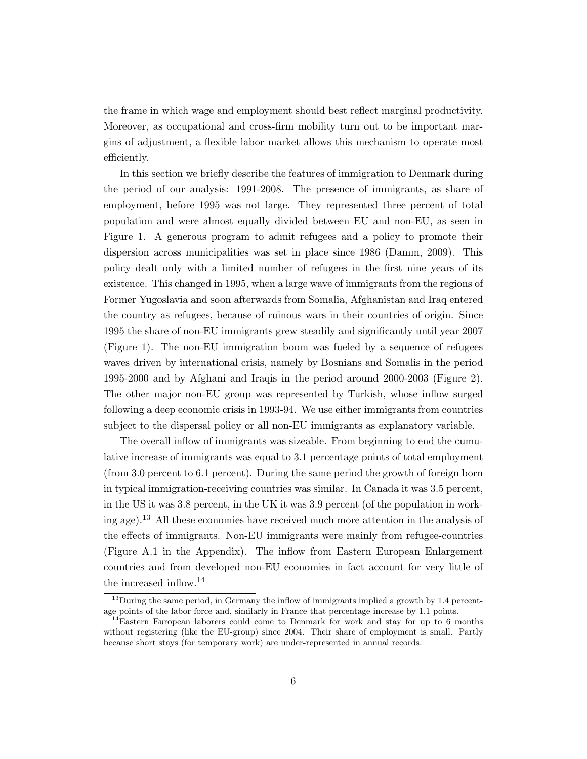the frame in which wage and employment should best reflect marginal productivity. Moreover, as occupational and cross-firm mobility turn out to be important margins of adjustment, a flexible labor market allows this mechanism to operate most efficiently.

In this section we briefly describe the features of immigration to Denmark during the period of our analysis: 1991-2008. The presence of immigrants, as share of employment, before 1995 was not large. They represented three percent of total population and were almost equally divided between EU and non-EU, as seen in Figure 1. A generous program to admit refugees and a policy to promote their dispersion across municipalities was set in place since 1986 (Damm, 2009). This policy dealt only with a limited number of refugees in the first nine years of its existence. This changed in 1995, when a large wave of immigrants from the regions of Former Yugoslavia and soon afterwards from Somalia, Afghanistan and Iraq entered the country as refugees, because of ruinous wars in their countries of origin. Since 1995 the share of non-EU immigrants grew steadily and significantly until year 2007 (Figure 1). The non-EU immigration boom was fueled by a sequence of refugees waves driven by international crisis, namely by Bosnians and Somalis in the period 1995-2000 and by Afghani and Iraqis in the period around 2000-2003 (Figure 2). The other major non-EU group was represented by Turkish, whose inflow surged following a deep economic crisis in 1993-94. We use either immigrants from countries subject to the dispersal policy or all non-EU immigrants as explanatory variable.

The overall inflow of immigrants was sizeable. From beginning to end the cumulative increase of immigrants was equal to 3.1 percentage points of total employment (from 3.0 percent to 6.1 percent). During the same period the growth of foreign born in typical immigration-receiving countries was similar. In Canada it was 3.5 percent, in the US it was 3.8 percent, in the UK it was 3.9 percent (of the population in working age).<sup>13</sup> All these economies have received much more attention in the analysis of the effects of immigrants. Non-EU immigrants were mainly from refugee-countries (Figure A.1 in the Appendix). The inflow from Eastern European Enlargement countries and from developed non-EU economies in fact account for very little of the increased inflow.<sup>14</sup>

<sup>&</sup>lt;sup>13</sup>During the same period, in Germany the inflow of immigrants implied a growth by 1.4 percentage points of the labor force and, similarly in France that percentage increase by 1.1 points.

<sup>&</sup>lt;sup>14</sup>Eastern European laborers could come to Denmark for work and stay for up to 6 months without registering (like the EU-group) since 2004. Their share of employment is small. Partly because short stays (for temporary work) are under-represented in annual records.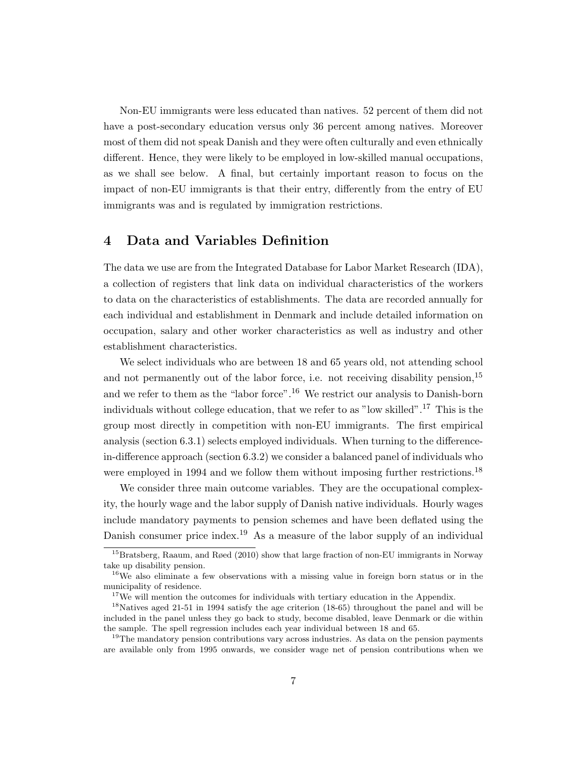Non-EU immigrants were less educated than natives. 52 percent of them did not have a post-secondary education versus only 36 percent among natives. Moreover most of them did not speak Danish and they were often culturally and even ethnically different. Hence, they were likely to be employed in low-skilled manual occupations, as we shall see below. A final, but certainly important reason to focus on the impact of non-EU immigrants is that their entry, differently from the entry of EU immigrants was and is regulated by immigration restrictions.

### 4 Data and Variables Definition

The data we use are from the Integrated Database for Labor Market Research (IDA), a collection of registers that link data on individual characteristics of the workers to data on the characteristics of establishments. The data are recorded annually for each individual and establishment in Denmark and include detailed information on occupation, salary and other worker characteristics as well as industry and other establishment characteristics.

We select individuals who are between 18 and 65 years old, not attending school and not permanently out of the labor force, i.e. not receiving disability pension,<sup>15</sup> and we refer to them as the "labor force".<sup>16</sup> We restrict our analysis to Danish-born individuals without college education, that we refer to as "low skilled".<sup>17</sup> This is the group most directly in competition with non-EU immigrants. The first empirical analysis (section 6.3.1) selects employed individuals. When turning to the differencein-difference approach (section 6.3.2) we consider a balanced panel of individuals who were employed in 1994 and we follow them without imposing further restrictions.<sup>18</sup>

We consider three main outcome variables. They are the occupational complexity, the hourly wage and the labor supply of Danish native individuals. Hourly wages include mandatory payments to pension schemes and have been deflated using the Danish consumer price index.<sup>19</sup> As a measure of the labor supply of an individual

<sup>&</sup>lt;sup>15</sup>Bratsberg, Raaum, and Røed (2010) show that large fraction of non-EU immigrants in Norway take up disability pension.

 $16\text{We also eliminate a few observations with a missing value in foreign born status or in the }$ municipality of residence.

<sup>&</sup>lt;sup>17</sup>We will mention the outcomes for individuals with tertiary education in the Appendix.

<sup>&</sup>lt;sup>18</sup>Natives aged 21-51 in 1994 satisfy the age criterion  $(18-65)$  throughout the panel and will be included in the panel unless they go back to study, become disabled, leave Denmark or die within the sample. The spell regression includes each year individual between 18 and 65.

<sup>&</sup>lt;sup>19</sup>The mandatory pension contributions vary across industries. As data on the pension payments are available only from 1995 onwards, we consider wage net of pension contributions when we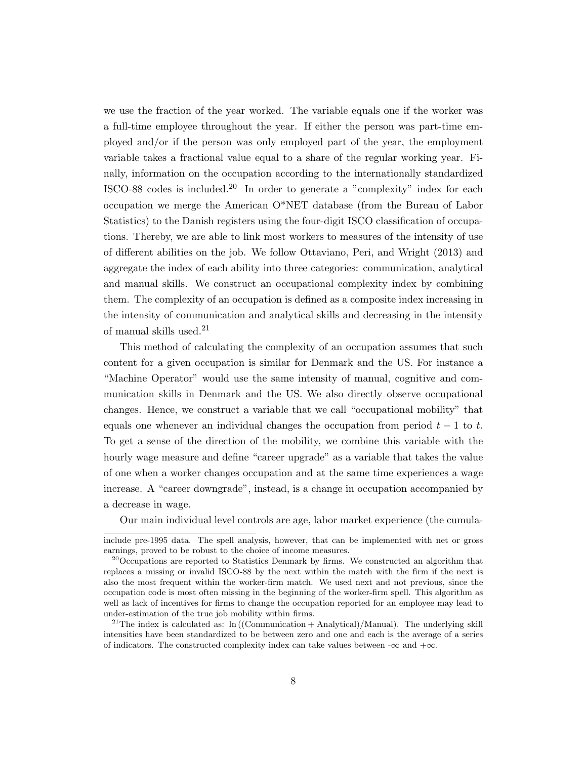we use the fraction of the year worked. The variable equals one if the worker was a full-time employee throughout the year. If either the person was part-time employed and/or if the person was only employed part of the year, the employment variable takes a fractional value equal to a share of the regular working year. Finally, information on the occupation according to the internationally standardized ISCO-88 codes is included.<sup>20</sup> In order to generate a "complexity" index for each occupation we merge the American O\*NET database (from the Bureau of Labor Statistics) to the Danish registers using the four-digit ISCO classification of occupations. Thereby, we are able to link most workers to measures of the intensity of use of different abilities on the job. We follow Ottaviano, Peri, and Wright (2013) and aggregate the index of each ability into three categories: communication, analytical and manual skills. We construct an occupational complexity index by combining them. The complexity of an occupation is defined as a composite index increasing in the intensity of communication and analytical skills and decreasing in the intensity of manual skills used.<sup>21</sup>

This method of calculating the complexity of an occupation assumes that such content for a given occupation is similar for Denmark and the US. For instance a "Machine Operator" would use the same intensity of manual, cognitive and communication skills in Denmark and the US. We also directly observe occupational changes. Hence, we construct a variable that we call "occupational mobility" that equals one whenever an individual changes the occupation from period  $t - 1$  to t. To get a sense of the direction of the mobility, we combine this variable with the hourly wage measure and define "career upgrade" as a variable that takes the value of one when a worker changes occupation and at the same time experiences a wage increase. A "career downgrade", instead, is a change in occupation accompanied by a decrease in wage.

Our main individual level controls are age, labor market experience (the cumula-

include pre-1995 data. The spell analysis, however, that can be implemented with net or gross earnings, proved to be robust to the choice of income measures.

 $^{20}$ Occupations are reported to Statistics Denmark by firms. We constructed an algorithm that replaces a missing or invalid ISCO-88 by the next within the match with the firm if the next is also the most frequent within the worker-firm match. We used next and not previous, since the occupation code is most often missing in the beginning of the worker-firm spell. This algorithm as well as lack of incentives for firms to change the occupation reported for an employee may lead to under-estimation of the true job mobility within firms.

<sup>&</sup>lt;sup>21</sup>The index is calculated as:  $\ln((\text{Communication} + \text{Analytical})/\text{Manual})$ . The underlying skill intensities have been standardized to be between zero and one and each is the average of a series of indicators. The constructed complexity index can take values between  $-\infty$  and  $+\infty$ .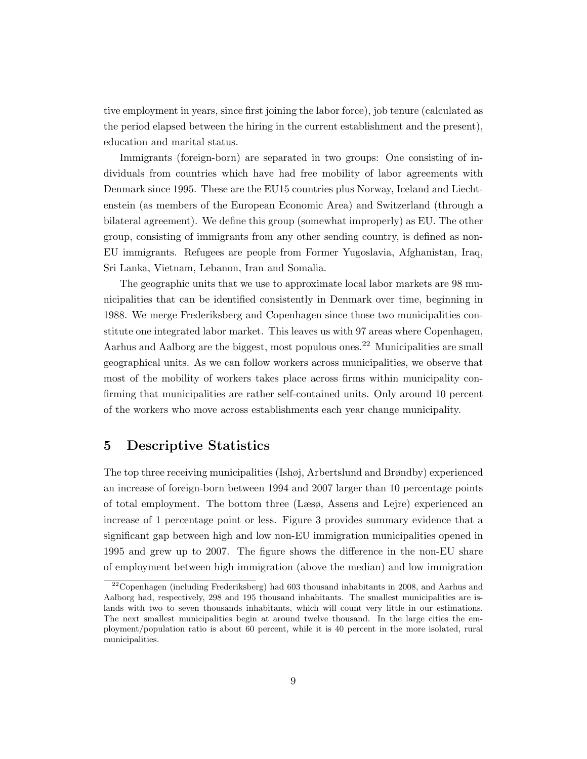tive employment in years, since first joining the labor force), job tenure (calculated as the period elapsed between the hiring in the current establishment and the present), education and marital status.

Immigrants (foreign-born) are separated in two groups: One consisting of individuals from countries which have had free mobility of labor agreements with Denmark since 1995. These are the EU15 countries plus Norway, Iceland and Liechtenstein (as members of the European Economic Area) and Switzerland (through a bilateral agreement). We define this group (somewhat improperly) as EU. The other group, consisting of immigrants from any other sending country, is defined as non-EU immigrants. Refugees are people from Former Yugoslavia, Afghanistan, Iraq, Sri Lanka, Vietnam, Lebanon, Iran and Somalia.

The geographic units that we use to approximate local labor markets are 98 municipalities that can be identified consistently in Denmark over time, beginning in 1988. We merge Frederiksberg and Copenhagen since those two municipalities constitute one integrated labor market. This leaves us with 97 areas where Copenhagen, Aarhus and Aalborg are the biggest, most populous ones.<sup>22</sup> Municipalities are small geographical units. As we can follow workers across municipalities, we observe that most of the mobility of workers takes place across firms within municipality confirming that municipalities are rather self-contained units. Only around 10 percent of the workers who move across establishments each year change municipality.

# 5 Descriptive Statistics

The top three receiving municipalities (Ishøj, Arbertslund and Brøndby) experienced an increase of foreign-born between 1994 and 2007 larger than 10 percentage points of total employment. The bottom three (Læsø, Assens and Lejre) experienced an increase of 1 percentage point or less. Figure 3 provides summary evidence that a significant gap between high and low non-EU immigration municipalities opened in 1995 and grew up to 2007. The figure shows the difference in the non-EU share of employment between high immigration (above the median) and low immigration

<sup>22</sup>Copenhagen (including Frederiksberg) had 603 thousand inhabitants in 2008, and Aarhus and Aalborg had, respectively, 298 and 195 thousand inhabitants. The smallest municipalities are islands with two to seven thousands inhabitants, which will count very little in our estimations. The next smallest municipalities begin at around twelve thousand. In the large cities the employment/population ratio is about 60 percent, while it is 40 percent in the more isolated, rural municipalities.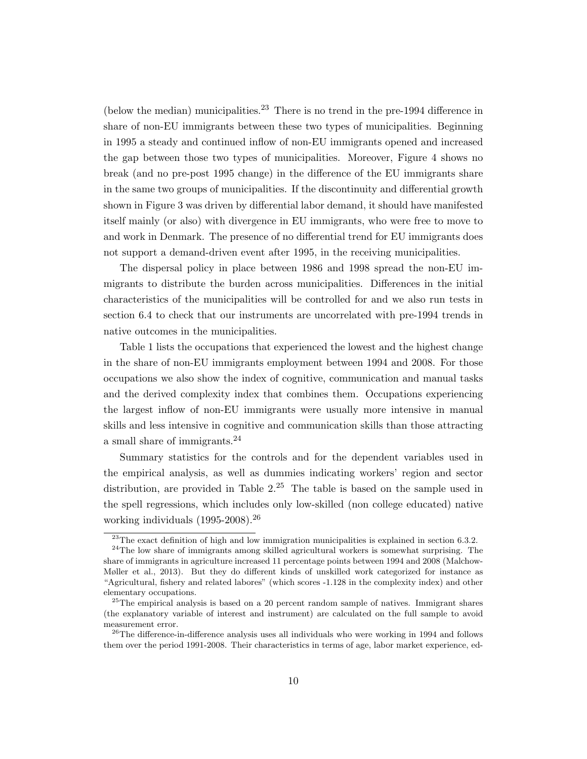(below the median) municipalities.<sup>23</sup> There is no trend in the pre-1994 difference in share of non-EU immigrants between these two types of municipalities. Beginning in 1995 a steady and continued inflow of non-EU immigrants opened and increased the gap between those two types of municipalities. Moreover, Figure 4 shows no break (and no pre-post 1995 change) in the difference of the EU immigrants share in the same two groups of municipalities. If the discontinuity and differential growth shown in Figure 3 was driven by differential labor demand, it should have manifested itself mainly (or also) with divergence in EU immigrants, who were free to move to and work in Denmark. The presence of no differential trend for EU immigrants does not support a demand-driven event after 1995, in the receiving municipalities.

The dispersal policy in place between 1986 and 1998 spread the non-EU immigrants to distribute the burden across municipalities. Differences in the initial characteristics of the municipalities will be controlled for and we also run tests in section 6.4 to check that our instruments are uncorrelated with pre-1994 trends in native outcomes in the municipalities.

Table 1 lists the occupations that experienced the lowest and the highest change in the share of non-EU immigrants employment between 1994 and 2008. For those occupations we also show the index of cognitive, communication and manual tasks and the derived complexity index that combines them. Occupations experiencing the largest inflow of non-EU immigrants were usually more intensive in manual skills and less intensive in cognitive and communication skills than those attracting a small share of immigrants.<sup>24</sup>

Summary statistics for the controls and for the dependent variables used in the empirical analysis, as well as dummies indicating workers' region and sector distribution, are provided in Table 2.<sup>25</sup> The table is based on the sample used in the spell regressions, which includes only low-skilled (non college educated) native working individuals (1995-2008).<sup>26</sup>

 $^{23}$ The exact definition of high and low immigration municipalities is explained in section 6.3.2.

 $24$ The low share of immigrants among skilled agricultural workers is somewhat surprising. The share of immigrants in agriculture increased 11 percentage points between 1994 and 2008 (Malchow-Møller et al., 2013). But they do different kinds of unskilled work categorized for instance as "Agricultural, fishery and related labores" (which scores -1.128 in the complexity index) and other elementary occupations.

 $^{25}$ The empirical analysis is based on a 20 percent random sample of natives. Immigrant shares (the explanatory variable of interest and instrument) are calculated on the full sample to avoid measurement error.

 $^{26}$ The difference-in-difference analysis uses all individuals who were working in 1994 and follows them over the period 1991-2008. Their characteristics in terms of age, labor market experience, ed-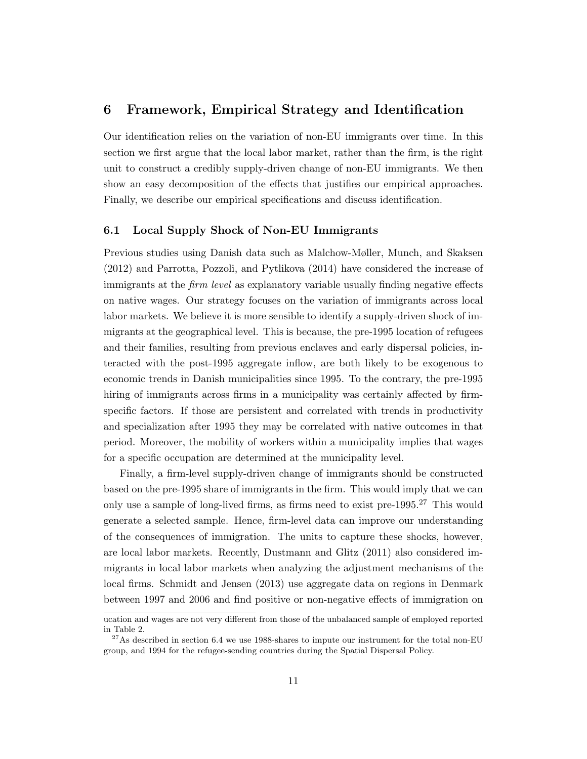## 6 Framework, Empirical Strategy and Identification

Our identification relies on the variation of non-EU immigrants over time. In this section we first argue that the local labor market, rather than the firm, is the right unit to construct a credibly supply-driven change of non-EU immigrants. We then show an easy decomposition of the effects that justifies our empirical approaches. Finally, we describe our empirical specifications and discuss identification.

### 6.1 Local Supply Shock of Non-EU Immigrants

Previous studies using Danish data such as Malchow-Møller, Munch, and Skaksen (2012) and Parrotta, Pozzoli, and Pytlikova (2014) have considered the increase of immigrants at the *firm level* as explanatory variable usually finding negative effects on native wages. Our strategy focuses on the variation of immigrants across local labor markets. We believe it is more sensible to identify a supply-driven shock of immigrants at the geographical level. This is because, the pre-1995 location of refugees and their families, resulting from previous enclaves and early dispersal policies, interacted with the post-1995 aggregate inflow, are both likely to be exogenous to economic trends in Danish municipalities since 1995. To the contrary, the pre-1995 hiring of immigrants across firms in a municipality was certainly affected by firmspecific factors. If those are persistent and correlated with trends in productivity and specialization after 1995 they may be correlated with native outcomes in that period. Moreover, the mobility of workers within a municipality implies that wages for a specific occupation are determined at the municipality level.

Finally, a firm-level supply-driven change of immigrants should be constructed based on the pre-1995 share of immigrants in the firm. This would imply that we can only use a sample of long-lived firms, as firms need to exist pre-1995.<sup>27</sup> This would generate a selected sample. Hence, firm-level data can improve our understanding of the consequences of immigration. The units to capture these shocks, however, are local labor markets. Recently, Dustmann and Glitz (2011) also considered immigrants in local labor markets when analyzing the adjustment mechanisms of the local firms. Schmidt and Jensen (2013) use aggregate data on regions in Denmark between 1997 and 2006 and find positive or non-negative effects of immigration on

ucation and wages are not very different from those of the unbalanced sample of employed reported in Table 2.

 $^{27}$ As described in section 6.4 we use 1988-shares to impute our instrument for the total non-EU group, and 1994 for the refugee-sending countries during the Spatial Dispersal Policy.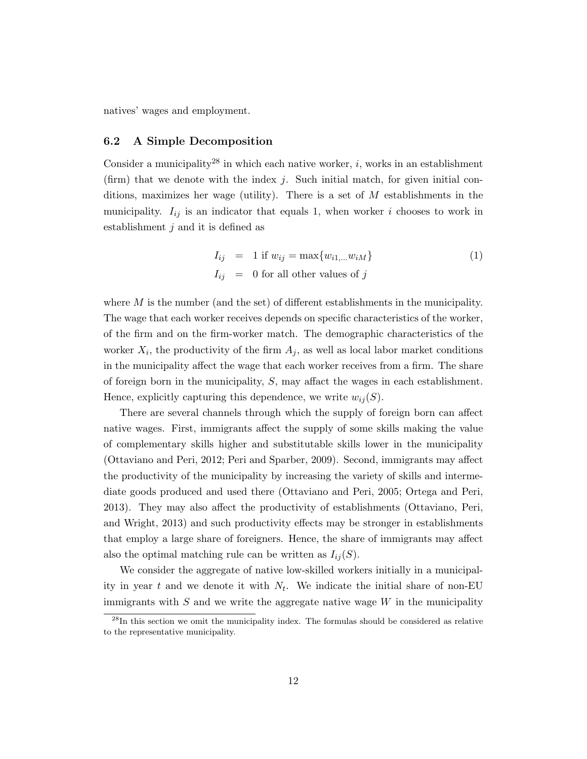natives' wages and employment.

### 6.2 A Simple Decomposition

Consider a municipality<sup>28</sup> in which each native worker, i, works in an establishment  $(firm)$  that we denote with the index j. Such initial match, for given initial conditions, maximizes her wage (utility). There is a set of  $M$  establishments in the municipality.  $I_{ij}$  is an indicator that equals 1, when worker i chooses to work in establishment j and it is defined as

$$
I_{ij} = 1 \text{ if } w_{ij} = \max\{w_{i1,...}w_{iM}\}
$$
  
\n
$$
I_{ij} = 0 \text{ for all other values of } j
$$
\n(1)

where  $M$  is the number (and the set) of different establishments in the municipality. The wage that each worker receives depends on specific characteristics of the worker, of the firm and on the firm-worker match. The demographic characteristics of the worker  $X_i$ , the productivity of the firm  $A_j$ , as well as local labor market conditions in the municipality affect the wage that each worker receives from a firm. The share of foreign born in the municipality, S, may affact the wages in each establishment. Hence, explicitly capturing this dependence, we write  $w_{ij}(S)$ .

There are several channels through which the supply of foreign born can affect native wages. First, immigrants affect the supply of some skills making the value of complementary skills higher and substitutable skills lower in the municipality (Ottaviano and Peri, 2012; Peri and Sparber, 2009). Second, immigrants may affect the productivity of the municipality by increasing the variety of skills and intermediate goods produced and used there (Ottaviano and Peri, 2005; Ortega and Peri, 2013). They may also affect the productivity of establishments (Ottaviano, Peri, and Wright, 2013) and such productivity effects may be stronger in establishments that employ a large share of foreigners. Hence, the share of immigrants may affect also the optimal matching rule can be written as  $I_{ij}(S)$ .

We consider the aggregate of native low-skilled workers initially in a municipality in year t and we denote it with  $N_t$ . We indicate the initial share of non-EU immigrants with  $S$  and we write the aggregate native wage  $W$  in the municipality

<sup>&</sup>lt;sup>28</sup>In this section we omit the municipality index. The formulas should be considered as relative to the representative municipality.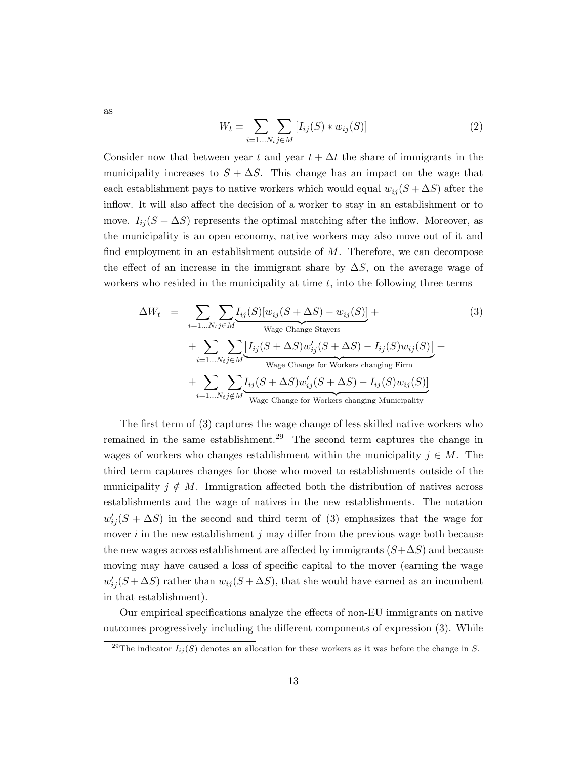as

$$
W_t = \sum_{i=1...N_t} \sum_{j \in M} [I_{ij}(S) * w_{ij}(S)] \tag{2}
$$

Consider now that between year t and year  $t + \Delta t$  the share of immigrants in the municipality increases to  $S + \Delta S$ . This change has an impact on the wage that each establishment pays to native workers which would equal  $w_{ij}(S + \Delta S)$  after the inflow. It will also affect the decision of a worker to stay in an establishment or to move.  $I_{ij}(S + \Delta S)$  represents the optimal matching after the inflow. Moreover, as the municipality is an open economy, native workers may also move out of it and find employment in an establishment outside of  $M$ . Therefore, we can decompose the effect of an increase in the immigrant share by  $\Delta S$ , on the average wage of workers who resided in the municipality at time  $t$ , into the following three terms

$$
\Delta W_t = \sum_{i=1...N_t} \sum_{j \in M} I_{ij}(S) [w_{ij}(S + \Delta S) - w_{ij}(S)] +
$$
\n
$$
+ \sum_{i=1...N_t} \sum_{j \in M} [I_{ij}(S + \Delta S) w'_{ij}(S + \Delta S) - I_{ij}(S) w_{ij}(S)] +
$$
\n
$$
+ \sum_{i=1...N_t} \sum_{j \notin M} I_{ij}(S + \Delta S) w'_{ij}(S + \Delta S) - I_{ij}(S) w_{ij}(S)] +
$$
\n
$$
+ \sum_{i=1...N_t} \sum_{j \notin M} I_{ij}(S + \Delta S) w'_{ij}(S + \Delta S) - I_{ij}(S) w_{ij}(S)]
$$
\n(3)

The first term of (3) captures the wage change of less skilled native workers who remained in the same establishment.<sup>29</sup> The second term captures the change in wages of workers who changes establishment within the municipality  $j \in M$ . The third term captures changes for those who moved to establishments outside of the municipality  $j \notin M$ . Immigration affected both the distribution of natives across establishments and the wage of natives in the new establishments. The notation  $w'_{ij}(S + \Delta S)$  in the second and third term of (3) emphasizes that the wage for mover  $i$  in the new establishment  $j$  may differ from the previous wage both because the new wages across establishment are affected by immigrants  $(S+\Delta S)$  and because moving may have caused a loss of specific capital to the mover (earning the wage  $w'_{ij}(S + \Delta S)$  rather than  $w_{ij}(S + \Delta S)$ , that she would have earned as an incumbent in that establishment).

Our empirical specifications analyze the effects of non-EU immigrants on native outcomes progressively including the different components of expression (3). While

<sup>&</sup>lt;sup>29</sup>The indicator  $I_{ij}(S)$  denotes an allocation for these workers as it was before the change in S.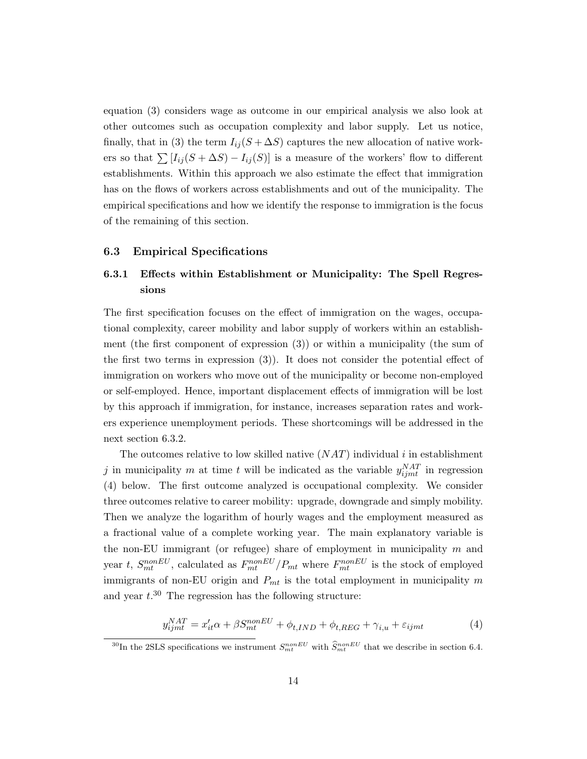equation (3) considers wage as outcome in our empirical analysis we also look at other outcomes such as occupation complexity and labor supply. Let us notice, finally, that in (3) the term  $I_{ij}(S + \Delta S)$  captures the new allocation of native workers so that  $\sum [I_{ij} (S + \Delta S) - I_{ij} (S)]$  is a measure of the workers' flow to different establishments. Within this approach we also estimate the effect that immigration has on the flows of workers across establishments and out of the municipality. The empirical specifications and how we identify the response to immigration is the focus of the remaining of this section.

### 6.3 Empirical Specifications

# 6.3.1 Effects within Establishment or Municipality: The Spell Regressions

The first specification focuses on the effect of immigration on the wages, occupational complexity, career mobility and labor supply of workers within an establishment (the first component of expression (3)) or within a municipality (the sum of the first two terms in expression (3)). It does not consider the potential effect of immigration on workers who move out of the municipality or become non-employed or self-employed. Hence, important displacement effects of immigration will be lost by this approach if immigration, for instance, increases separation rates and workers experience unemployment periods. These shortcomings will be addressed in the next section 6.3.2.

The outcomes relative to low skilled native  $(NAT)$  individual i in establishment j in municipality m at time t will be indicated as the variable  $y_{ijm}^{NAT}$  in regression (4) below. The first outcome analyzed is occupational complexity. We consider three outcomes relative to career mobility: upgrade, downgrade and simply mobility. Then we analyze the logarithm of hourly wages and the employment measured as a fractional value of a complete working year. The main explanatory variable is the non-EU immigrant (or refugee) share of employment in municipality  $m$  and year t,  $S_{mt}^{nonEU}$ , calculated as  $F_{mt}^{nonEU}/P_{mt}$  where  $F_{mt}^{nonEU}$  is the stock of employed immigrants of non-EU origin and  $P_{mt}$  is the total employment in municipality m and year  $t^{30}$  The regression has the following structure:

$$
y_{ijmt}^{NAT} = x_{it}^{\prime} \alpha + \beta S_{mt}^{nonEU} + \phi_{t,IND} + \phi_{t,REG} + \gamma_{i,u} + \varepsilon_{ijmt}
$$
(4)

<sup>&</sup>lt;sup>30</sup>In the 2SLS specifications we instrument  $S_{mt}^{nonEU}$  with  $\hat{S}_{mt}^{nonEU}$  that we describe in section 6.4.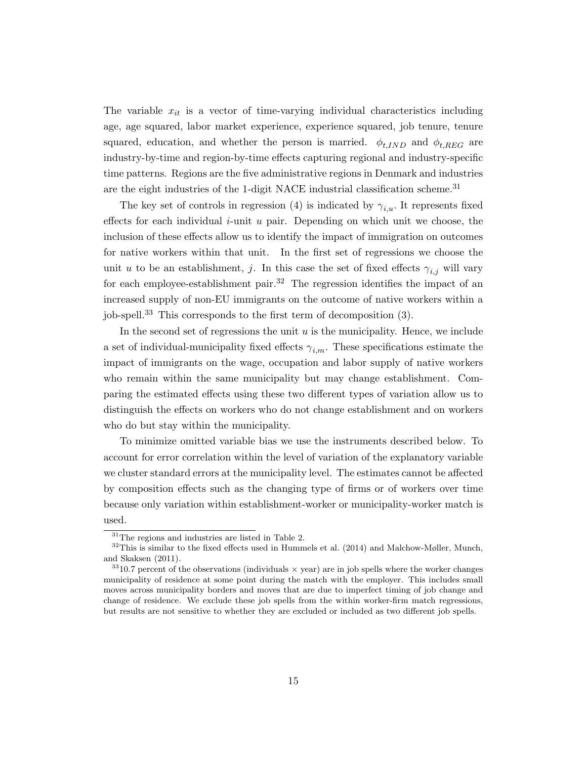The variable  $x_{it}$  is a vector of time-varying individual characteristics including age, age squared, labor market experience, experience squared, job tenure, tenure squared, education, and whether the person is married.  $\phi_{t,IND}$  and  $\phi_{t,REG}$  are industry-by-time and region-by-time effects capturing regional and industry-specific time patterns. Regions are the five administrative regions in Denmark and industries are the eight industries of the 1-digit NACE industrial classification scheme.<sup>31</sup>

The key set of controls in regression (4) is indicated by  $\gamma_{i,u}$ . It represents fixed effects for each individual *i*-unit  $u$  pair. Depending on which unit we choose, the inclusion of these effects allow us to identify the impact of immigration on outcomes for native workers within that unit. In the first set of regressions we choose the unit u to be an establishment, j. In this case the set of fixed effects  $\gamma_{i,j}$  will vary for each employee-establishment pair.<sup>32</sup> The regression identifies the impact of an increased supply of non-EU immigrants on the outcome of native workers within a job-spell.<sup>33</sup> This corresponds to the first term of decomposition  $(3)$ .

In the second set of regressions the unit  $u$  is the municipality. Hence, we include a set of individual-municipality fixed effects  $\gamma_{i,m}$ . These specifications estimate the impact of immigrants on the wage, occupation and labor supply of native workers who remain within the same municipality but may change establishment. Comparing the estimated effects using these two different types of variation allow us to distinguish the effects on workers who do not change establishment and on workers who do but stay within the municipality.

To minimize omitted variable bias we use the instruments described below. To account for error correlation within the level of variation of the explanatory variable we cluster standard errors at the municipality level. The estimates cannot be affected by composition effects such as the changing type of firms or of workers over time because only variation within establishment-worker or municipality-worker match is used.

 $31$ The regions and industries are listed in Table 2.

 $32$ This is similar to the fixed effects used in Hummels et al. (2014) and Malchow-Møller, Munch, and Skaksen (2011).

 $3310.7$  percent of the observations (individuals  $\times$  year) are in job spells where the worker changes municipality of residence at some point during the match with the employer. This includes small moves across municipality borders and moves that are due to imperfect timing of job change and change of residence. We exclude these job spells from the within worker-firm match regressions, but results are not sensitive to whether they are excluded or included as two different job spells.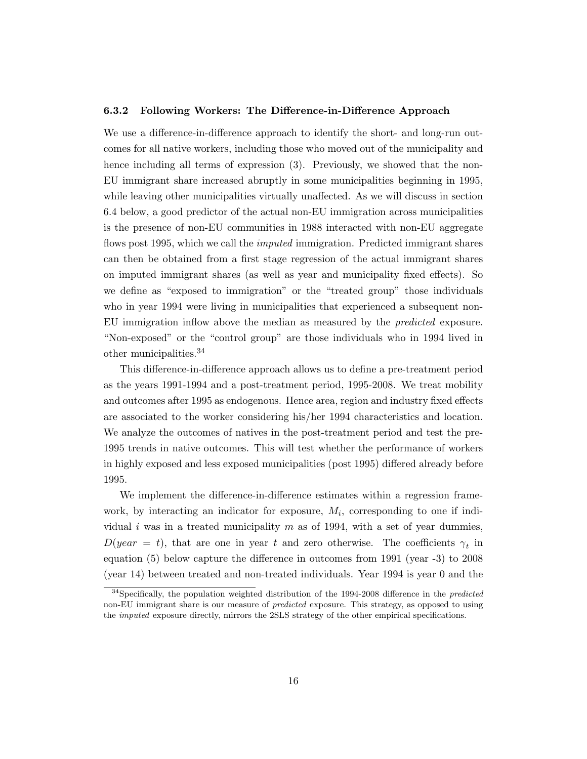#### 6.3.2 Following Workers: The Difference-in-Difference Approach

We use a difference-in-difference approach to identify the short- and long-run outcomes for all native workers, including those who moved out of the municipality and hence including all terms of expression (3). Previously, we showed that the non-EU immigrant share increased abruptly in some municipalities beginning in 1995, while leaving other municipalities virtually unaffected. As we will discuss in section 6.4 below, a good predictor of the actual non-EU immigration across municipalities is the presence of non-EU communities in 1988 interacted with non-EU aggregate flows post 1995, which we call the *imputed* immigration. Predicted immigrant shares can then be obtained from a first stage regression of the actual immigrant shares on imputed immigrant shares (as well as year and municipality fixed effects). So we define as "exposed to immigration" or the "treated group" those individuals who in year 1994 were living in municipalities that experienced a subsequent non-EU immigration inflow above the median as measured by the predicted exposure. "Non-exposed" or the "control group" are those individuals who in 1994 lived in other municipalities.<sup>34</sup>

This difference-in-difference approach allows us to define a pre-treatment period as the years 1991-1994 and a post-treatment period, 1995-2008. We treat mobility and outcomes after 1995 as endogenous. Hence area, region and industry fixed effects are associated to the worker considering his/her 1994 characteristics and location. We analyze the outcomes of natives in the post-treatment period and test the pre-1995 trends in native outcomes. This will test whether the performance of workers in highly exposed and less exposed municipalities (post 1995) differed already before 1995.

We implement the difference-in-difference estimates within a regression framework, by interacting an indicator for exposure,  $M_i$ , corresponding to one if individual i was in a treated municipality m as of 1994, with a set of year dummies,  $D(year = t)$ , that are one in year t and zero otherwise. The coefficients  $\gamma_t$  in equation (5) below capture the difference in outcomes from 1991 (year -3) to 2008 (year 14) between treated and non-treated individuals. Year 1994 is year 0 and the

 $34$ Specifically, the population weighted distribution of the 1994-2008 difference in the *predicted* non-EU immigrant share is our measure of *predicted* exposure. This strategy, as opposed to using the *imputed* exposure directly, mirrors the 2SLS strategy of the other empirical specifications.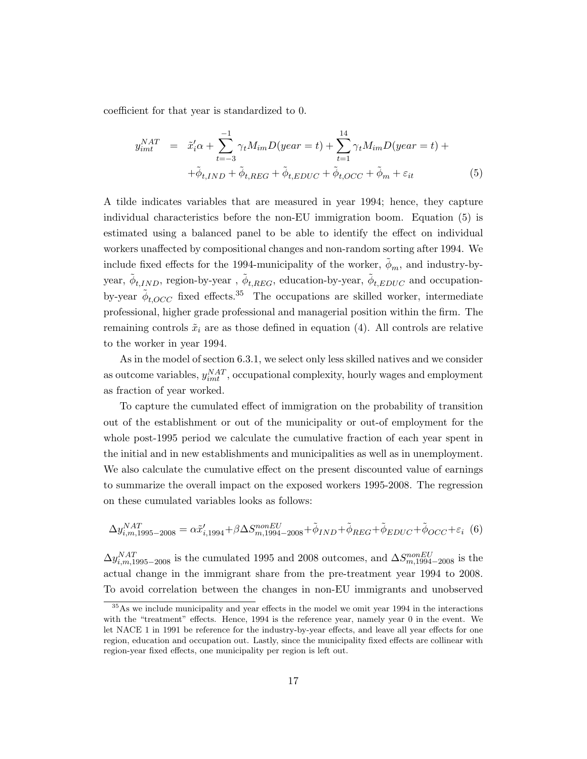coefficient for that year is standardized to 0.

$$
y_{imt}^{NAT} = \tilde{x}'_i \alpha + \sum_{t=-3}^{-1} \gamma_t M_{im} D(year = t) + \sum_{t=1}^{14} \gamma_t M_{im} D(year = t) +
$$

$$
+ \tilde{\phi}_{t, IND} + \tilde{\phi}_{t, REG} + \tilde{\phi}_{t, EDUC} + \tilde{\phi}_{t, OCC} + \tilde{\phi}_m + \varepsilon_{it}
$$
(5)

A tilde indicates variables that are measured in year 1994; hence, they capture individual characteristics before the non-EU immigration boom. Equation (5) is estimated using a balanced panel to be able to identify the effect on individual workers unaffected by compositional changes and non-random sorting after 1994. We include fixed effects for the 1994-municipality of the worker,  $\tilde{\phi}_m,$  and industry-byyear,  $\tilde{\phi}_{t,IND}$ , region-by-year,  $\tilde{\phi}_{t,REG}$ , education-by-year,  $\tilde{\phi}_{t,EDUC}$  and occupationby-year  $\tilde{\phi}_{t,OCC}$  fixed effects.<sup>35</sup> The occupations are skilled worker, intermediate professional, higher grade professional and managerial position within the firm. The remaining controls  $\tilde{x}_i$  are as those defined in equation (4). All controls are relative to the worker in year 1994.

As in the model of section 6.3.1, we select only less skilled natives and we consider as outcome variables,  $y_{imt}^{NAT}$ , occupational complexity, hourly wages and employment as fraction of year worked.

To capture the cumulated effect of immigration on the probability of transition out of the establishment or out of the municipality or out-of employment for the whole post-1995 period we calculate the cumulative fraction of each year spent in the initial and in new establishments and municipalities as well as in unemployment. We also calculate the cumulative effect on the present discounted value of earnings to summarize the overall impact on the exposed workers 1995-2008. The regression on these cumulated variables looks as follows:

$$
\Delta y_{i,m,1995-2008}^{NAT} = \alpha \tilde{x}_{i,1994}^{\prime} + \beta \Delta S_{m,1994-2008}^{nonEU} + \tilde{\phi}_{IND} + \tilde{\phi}_{REG} + \tilde{\phi}_{EDUC} + \tilde{\phi}_{OCC} + \varepsilon_i
$$
 (6)

 $\Delta y_{i,m,1995-2008}^{NAT}$  is the cumulated 1995 and 2008 outcomes, and  $\Delta S_{m,1994-2008}^{nonEU}$  is the actual change in the immigrant share from the pre-treatment year 1994 to 2008. To avoid correlation between the changes in non-EU immigrants and unobserved

<sup>&</sup>lt;sup>35</sup>As we include municipality and year effects in the model we omit year 1994 in the interactions with the "treatment" effects. Hence, 1994 is the reference year, namely year 0 in the event. We let NACE 1 in 1991 be reference for the industry-by-year effects, and leave all year effects for one region, education and occupation out. Lastly, since the municipality fixed effects are collinear with region-year fixed effects, one municipality per region is left out.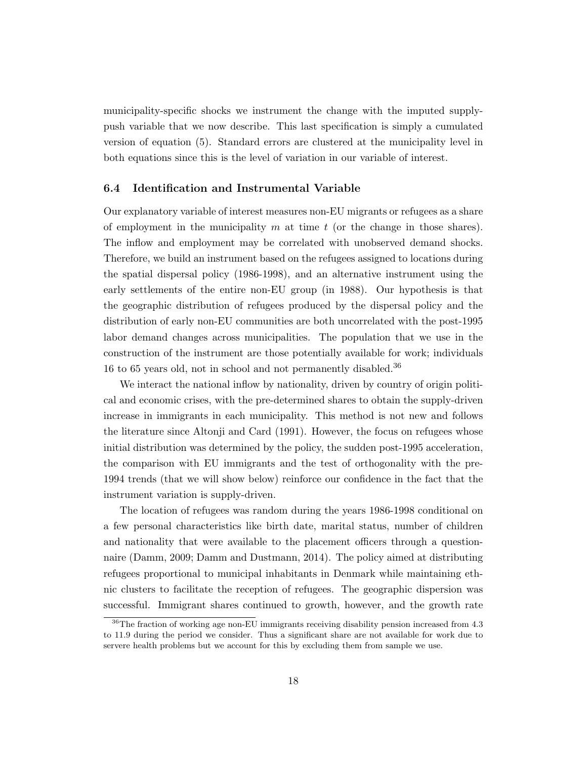municipality-specific shocks we instrument the change with the imputed supplypush variable that we now describe. This last specification is simply a cumulated version of equation (5). Standard errors are clustered at the municipality level in both equations since this is the level of variation in our variable of interest.

#### 6.4 Identification and Instrumental Variable

Our explanatory variable of interest measures non-EU migrants or refugees as a share of employment in the municipality  $m$  at time  $t$  (or the change in those shares). The inflow and employment may be correlated with unobserved demand shocks. Therefore, we build an instrument based on the refugees assigned to locations during the spatial dispersal policy (1986-1998), and an alternative instrument using the early settlements of the entire non-EU group (in 1988). Our hypothesis is that the geographic distribution of refugees produced by the dispersal policy and the distribution of early non-EU communities are both uncorrelated with the post-1995 labor demand changes across municipalities. The population that we use in the construction of the instrument are those potentially available for work; individuals 16 to 65 years old, not in school and not permanently disabled.<sup>36</sup>

We interact the national inflow by nationality, driven by country of origin political and economic crises, with the pre-determined shares to obtain the supply-driven increase in immigrants in each municipality. This method is not new and follows the literature since Altonji and Card (1991). However, the focus on refugees whose initial distribution was determined by the policy, the sudden post-1995 acceleration, the comparison with EU immigrants and the test of orthogonality with the pre-1994 trends (that we will show below) reinforce our confidence in the fact that the instrument variation is supply-driven.

The location of refugees was random during the years 1986-1998 conditional on a few personal characteristics like birth date, marital status, number of children and nationality that were available to the placement officers through a questionnaire (Damm, 2009; Damm and Dustmann, 2014). The policy aimed at distributing refugees proportional to municipal inhabitants in Denmark while maintaining ethnic clusters to facilitate the reception of refugees. The geographic dispersion was successful. Immigrant shares continued to growth, however, and the growth rate

 $36$ The fraction of working age non-EU immigrants receiving disability pension increased from 4.3 to 11.9 during the period we consider. Thus a significant share are not available for work due to servere health problems but we account for this by excluding them from sample we use.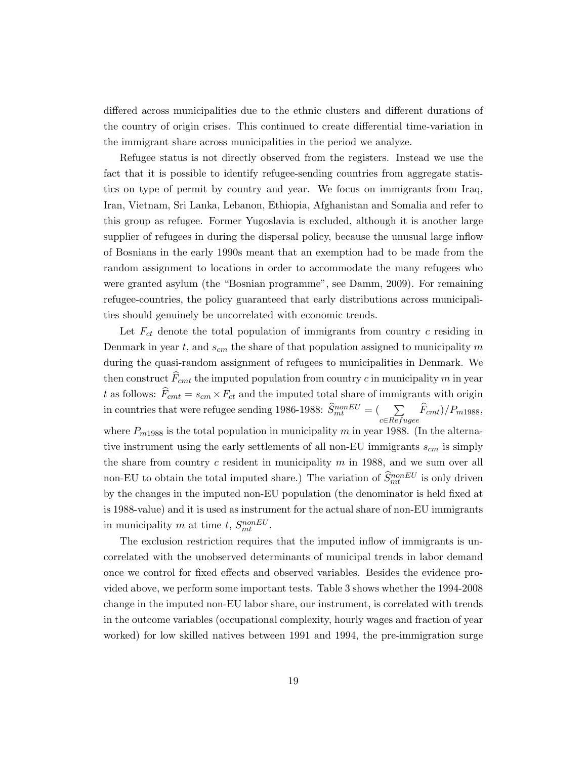differed across municipalities due to the ethnic clusters and different durations of the country of origin crises. This continued to create differential time-variation in the immigrant share across municipalities in the period we analyze.

Refugee status is not directly observed from the registers. Instead we use the fact that it is possible to identify refugee-sending countries from aggregate statistics on type of permit by country and year. We focus on immigrants from Iraq, Iran, Vietnam, Sri Lanka, Lebanon, Ethiopia, Afghanistan and Somalia and refer to this group as refugee. Former Yugoslavia is excluded, although it is another large supplier of refugees in during the dispersal policy, because the unusual large inflow of Bosnians in the early 1990s meant that an exemption had to be made from the random assignment to locations in order to accommodate the many refugees who were granted asylum (the "Bosnian programme", see Damm, 2009). For remaining refugee-countries, the policy guaranteed that early distributions across municipalities should genuinely be uncorrelated with economic trends.

Let  $F_{ct}$  denote the total population of immigrants from country  $c$  residing in Denmark in year t, and  $s_{cm}$  the share of that population assigned to municipality m during the quasi-random assignment of refugees to municipalities in Denmark. We then construct  $\vec{F}_{cmt}$  the imputed population from country c in municipality m in year t as follows:  $\widehat{F}_{cmt} = s_{cm} \times F_{ct}$  and the imputed total share of immigrants with origin in countries that were refugee sending 1986-1988:  $\hat{S}_{mt}^{nonEU} = (\sum_{c \in Refuge} \hat{F}_{cmt})/P_{m1988},$ where  $P_{m1988}$  is the total population in municipality m in year 1988. (In the alternative instrument using the early settlements of all non-EU immigrants  $s_{cm}$  is simply the share from country  $c$  resident in municipality  $m$  in 1988, and we sum over all non-EU to obtain the total imputed share.) The variation of  $\widehat{S}_{mt}^{nonEU}$  is only driven by the changes in the imputed non-EU population (the denominator is held fixed at is 1988-value) and it is used as instrument for the actual share of non-EU immigrants in municipality m at time t,  $S_{mt}^{nonEU}$ .

The exclusion restriction requires that the imputed inflow of immigrants is uncorrelated with the unobserved determinants of municipal trends in labor demand once we control for fixed effects and observed variables. Besides the evidence provided above, we perform some important tests. Table 3 shows whether the 1994-2008 change in the imputed non-EU labor share, our instrument, is correlated with trends in the outcome variables (occupational complexity, hourly wages and fraction of year worked) for low skilled natives between 1991 and 1994, the pre-immigration surge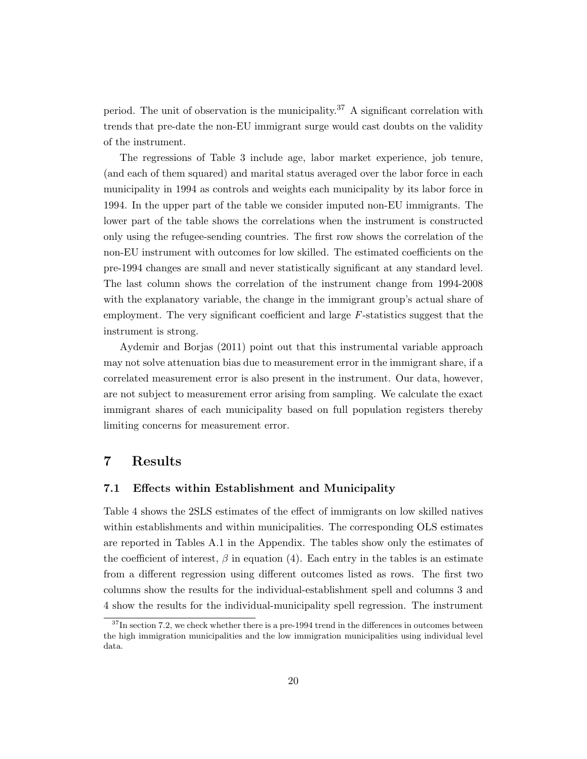period. The unit of observation is the municipality.<sup>37</sup> A significant correlation with trends that pre-date the non-EU immigrant surge would cast doubts on the validity of the instrument.

The regressions of Table 3 include age, labor market experience, job tenure, (and each of them squared) and marital status averaged over the labor force in each municipality in 1994 as controls and weights each municipality by its labor force in 1994. In the upper part of the table we consider imputed non-EU immigrants. The lower part of the table shows the correlations when the instrument is constructed only using the refugee-sending countries. The first row shows the correlation of the non-EU instrument with outcomes for low skilled. The estimated coefficients on the pre-1994 changes are small and never statistically significant at any standard level. The last column shows the correlation of the instrument change from 1994-2008 with the explanatory variable, the change in the immigrant group's actual share of employment. The very significant coefficient and large  $F$ -statistics suggest that the instrument is strong.

Aydemir and Borjas (2011) point out that this instrumental variable approach may not solve attenuation bias due to measurement error in the immigrant share, if a correlated measurement error is also present in the instrument. Our data, however, are not subject to measurement error arising from sampling. We calculate the exact immigrant shares of each municipality based on full population registers thereby limiting concerns for measurement error.

### 7 Results

### 7.1 Effects within Establishment and Municipality

Table 4 shows the 2SLS estimates of the effect of immigrants on low skilled natives within establishments and within municipalities. The corresponding OLS estimates are reported in Tables A.1 in the Appendix. The tables show only the estimates of the coefficient of interest,  $\beta$  in equation (4). Each entry in the tables is an estimate from a different regression using different outcomes listed as rows. The first two columns show the results for the individual-establishment spell and columns 3 and 4 show the results for the individual-municipality spell regression. The instrument

<sup>&</sup>lt;sup>37</sup>In section 7.2, we check whether there is a pre-1994 trend in the differences in outcomes between the high immigration municipalities and the low immigration municipalities using individual level data.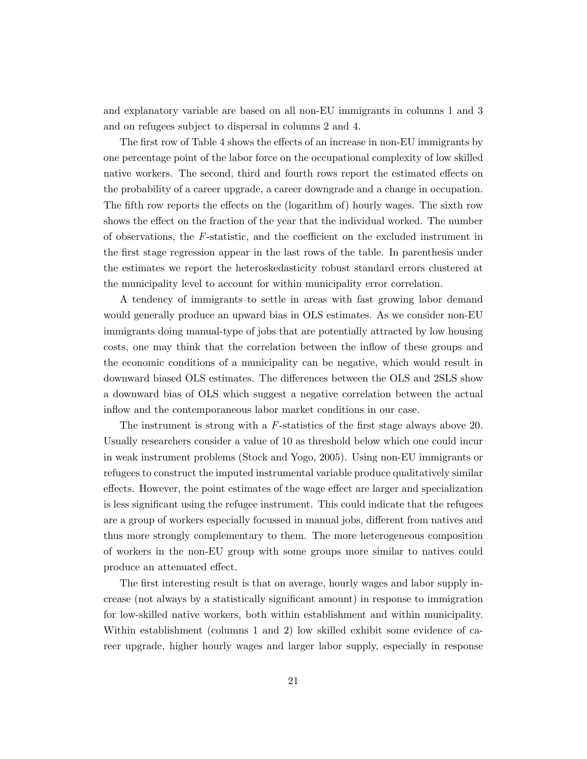and explanatory variable are based on all non-EU immigrants in columns 1 and 3 and on refugees subject to dispersal in columns 2 and 4.

The first row of Table 4 shows the effects of an increase in non-EU immigrants by one percentage point of the labor force on the occupational complexity of low skilled native workers. The second, third and fourth rows report the estimated effects on the probability of a career upgrade, a career downgrade and a change in occupation. The fifth row reports the effects on the (logarithm of) hourly wages. The sixth row shows the effect on the fraction of the year that the individual worked. The number of observations, the F-statistic, and the coefficient on the excluded instrument in the first stage regression appear in the last rows of the table. In parenthesis under the estimates we report the heteroskedasticity robust standard errors clustered at the municipality level to account for within municipality error correlation.

A tendency of immigrants to settle in areas with fast growing labor demand would generally produce an upward bias in OLS estimates. As we consider non-EU immigrants doing manual-type of jobs that are potentially attracted by low housing costs, one may think that the correlation between the inflow of these groups and the economic conditions of a municipality can be negative, which would result in downward biased OLS estimates. The differences between the OLS and 2SLS show a downward bias of OLS which suggest a negative correlation between the actual inflow and the contemporaneous labor market conditions in our case.

The instrument is strong with a F-statistics of the first stage always above 20. Usually researchers consider a value of 10 as threshold below which one could incur in weak instrument problems (Stock and Yogo, 2005). Using non-EU immigrants or refugees to construct the imputed instrumental variable produce qualitatively similar effects. However, the point estimates of the wage effect are larger and specialization is less significant using the refugee instrument. This could indicate that the refugees are a group of workers especially focussed in manual jobs, different from natives and thus more strongly complementary to them. The more heterogeneous composition of workers in the non-EU group with some groups more similar to natives could produce an attenuated effect.

The first interesting result is that on average, hourly wages and labor supply increase (not always by a statistically significant amount) in response to immigration for low-skilled native workers, both within establishment and within municipality. Within establishment (columns 1 and 2) low skilled exhibit some evidence of career upgrade, higher hourly wages and larger labor supply, especially in response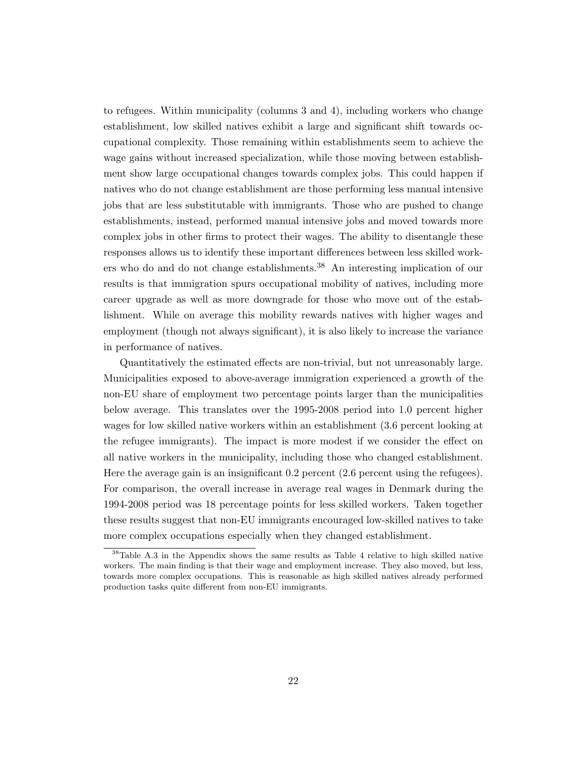to refugees. Within municipality (columns 3 and 4), including workers who change establishment, low skilled natives exhibit a large and significant shift towards occupational complexity. Those remaining within establishments seem to achieve the wage gains without increased specialization, while those moving between establishment show large occupational changes towards complex jobs. This could happen if natives who do not change establishment are those performing less manual intensive jobs that are less substitutable with immigrants. Those who are pushed to change establishments, instead, performed manual intensive jobs and moved towards more complex jobs in other firms to protect their wages. The ability to disentangle these responses allows us to identify these important differences between less skilled workers who do and do not change establishments.<sup>38</sup> An interesting implication of our results is that immigration spurs occupational mobility of natives, including more career upgrade as well as more downgrade for those who move out of the establishment. While on average this mobility rewards natives with higher wages and employment (though not always significant), it is also likely to increase the variance in performance of natives.

Quantitatively the estimated effects are non-trivial, but not unreasonably large. Municipalities exposed to above-average immigration experienced a growth of the non-EU share of employment two percentage points larger than the municipalities below average. This translates over the 1995-2008 period into 1.0 percent higher wages for low skilled native workers within an establishment (3.6 percent looking at the refugee immigrants). The impact is more modest if we consider the effect on all native workers in the municipality, including those who changed establishment. Here the average gain is an insignificant 0.2 percent (2.6 percent using the refugees). For comparison, the overall increase in average real wages in Denmark during the 1994-2008 period was 18 percentage points for less skilled workers. Taken together these results suggest that non-EU immigrants encouraged low-skilled natives to take more complex occupations especially when they changed establishment.

<sup>38</sup>Table A.3 in the Appendix shows the same results as Table 4 relative to high skilled native workers. The main finding is that their wage and employment increase. They also moved, but less, towards more complex occupations. This is reasonable as high skilled natives already performed production tasks quite different from non-EU immigrants.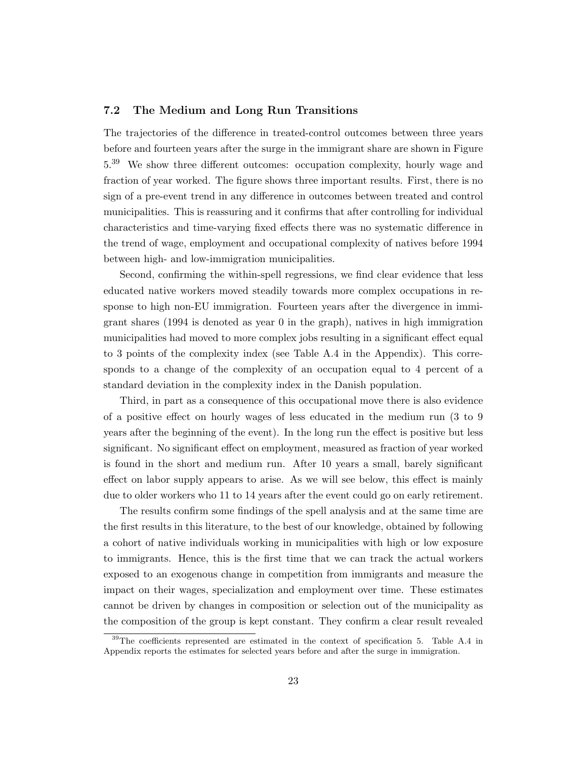### 7.2 The Medium and Long Run Transitions

The trajectories of the difference in treated-control outcomes between three years before and fourteen years after the surge in the immigrant share are shown in Figure 5.<sup>39</sup> We show three different outcomes: occupation complexity, hourly wage and fraction of year worked. The figure shows three important results. First, there is no sign of a pre-event trend in any difference in outcomes between treated and control municipalities. This is reassuring and it confirms that after controlling for individual characteristics and time-varying fixed effects there was no systematic difference in the trend of wage, employment and occupational complexity of natives before 1994 between high- and low-immigration municipalities.

Second, confirming the within-spell regressions, we find clear evidence that less educated native workers moved steadily towards more complex occupations in response to high non-EU immigration. Fourteen years after the divergence in immigrant shares (1994 is denoted as year 0 in the graph), natives in high immigration municipalities had moved to more complex jobs resulting in a significant effect equal to 3 points of the complexity index (see Table A.4 in the Appendix). This corresponds to a change of the complexity of an occupation equal to 4 percent of a standard deviation in the complexity index in the Danish population.

Third, in part as a consequence of this occupational move there is also evidence of a positive effect on hourly wages of less educated in the medium run (3 to 9 years after the beginning of the event). In the long run the effect is positive but less significant. No significant effect on employment, measured as fraction of year worked is found in the short and medium run. After 10 years a small, barely significant effect on labor supply appears to arise. As we will see below, this effect is mainly due to older workers who 11 to 14 years after the event could go on early retirement.

The results confirm some findings of the spell analysis and at the same time are the first results in this literature, to the best of our knowledge, obtained by following a cohort of native individuals working in municipalities with high or low exposure to immigrants. Hence, this is the first time that we can track the actual workers exposed to an exogenous change in competition from immigrants and measure the impact on their wages, specialization and employment over time. These estimates cannot be driven by changes in composition or selection out of the municipality as the composition of the group is kept constant. They confirm a clear result revealed

 $39$ The coefficients represented are estimated in the context of specification 5. Table A.4 in Appendix reports the estimates for selected years before and after the surge in immigration.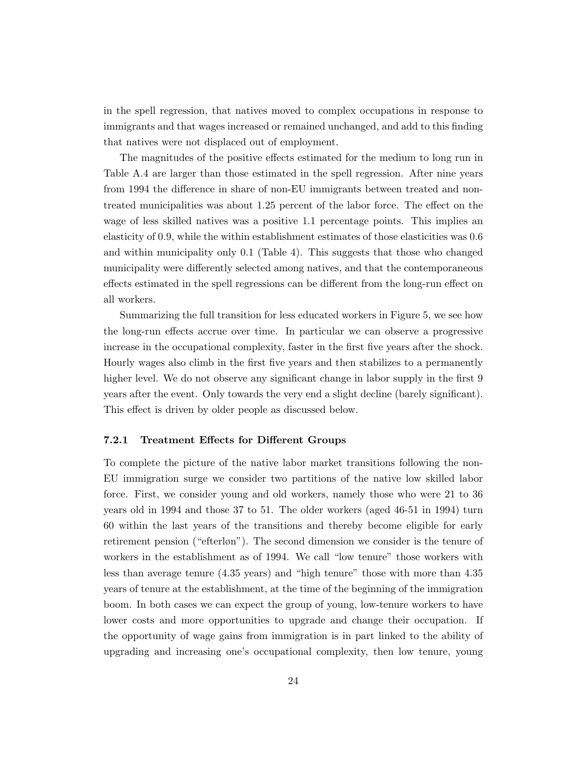in the spell regression, that natives moved to complex occupations in response to immigrants and that wages increased or remained unchanged, and add to this finding that natives were not displaced out of employment.

The magnitudes of the positive effects estimated for the medium to long run in Table A.4 are larger than those estimated in the spell regression. After nine years from 1994 the difference in share of non-EU immigrants between treated and nontreated municipalities was about 1.25 percent of the labor force. The effect on the wage of less skilled natives was a positive 1.1 percentage points. This implies an elasticity of 0.9, while the within establishment estimates of those elasticities was 0.6 and within municipality only 0.1 (Table 4). This suggests that those who changed municipality were differently selected among natives, and that the contemporaneous effects estimated in the spell regressions can be different from the long-run effect on all workers.

Summarizing the full transition for less educated workers in Figure 5, we see how the long-run effects accrue over time. In particular we can observe a progressive increase in the occupational complexity, faster in the first five years after the shock. Hourly wages also climb in the first five years and then stabilizes to a permanently higher level. We do not observe any significant change in labor supply in the first 9 years after the event. Only towards the very end a slight decline (barely significant). This effect is driven by older people as discussed below.

#### 7.2.1 Treatment Effects for Different Groups

To complete the picture of the native labor market transitions following the non-EU immigration surge we consider two partitions of the native low skilled labor force. First, we consider young and old workers, namely those who were 21 to 36 years old in 1994 and those 37 to 51. The older workers (aged 46-51 in 1994) turn 60 within the last years of the transitions and thereby become eligible for early retirement pension ("efterløn"). The second dimension we consider is the tenure of workers in the establishment as of 1994. We call "low tenure" those workers with less than average tenure (4.35 years) and "high tenure" those with more than 4.35 years of tenure at the establishment, at the time of the beginning of the immigration boom. In both cases we can expect the group of young, low-tenure workers to have lower costs and more opportunities to upgrade and change their occupation. If the opportunity of wage gains from immigration is in part linked to the ability of upgrading and increasing one's occupational complexity, then low tenure, young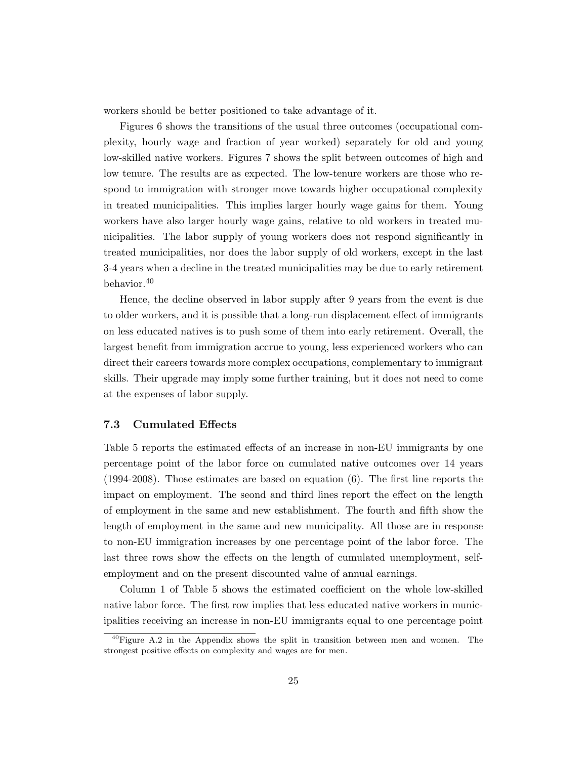workers should be better positioned to take advantage of it.

Figures 6 shows the transitions of the usual three outcomes (occupational complexity, hourly wage and fraction of year worked) separately for old and young low-skilled native workers. Figures 7 shows the split between outcomes of high and low tenure. The results are as expected. The low-tenure workers are those who respond to immigration with stronger move towards higher occupational complexity in treated municipalities. This implies larger hourly wage gains for them. Young workers have also larger hourly wage gains, relative to old workers in treated municipalities. The labor supply of young workers does not respond significantly in treated municipalities, nor does the labor supply of old workers, except in the last 3-4 years when a decline in the treated municipalities may be due to early retirement behavior.<sup>40</sup>

Hence, the decline observed in labor supply after 9 years from the event is due to older workers, and it is possible that a long-run displacement effect of immigrants on less educated natives is to push some of them into early retirement. Overall, the largest benefit from immigration accrue to young, less experienced workers who can direct their careers towards more complex occupations, complementary to immigrant skills. Their upgrade may imply some further training, but it does not need to come at the expenses of labor supply.

#### 7.3 Cumulated Effects

Table 5 reports the estimated effects of an increase in non-EU immigrants by one percentage point of the labor force on cumulated native outcomes over 14 years (1994-2008). Those estimates are based on equation (6). The first line reports the impact on employment. The seond and third lines report the effect on the length of employment in the same and new establishment. The fourth and fifth show the length of employment in the same and new municipality. All those are in response to non-EU immigration increases by one percentage point of the labor force. The last three rows show the effects on the length of cumulated unemployment, selfemployment and on the present discounted value of annual earnings.

Column 1 of Table 5 shows the estimated coefficient on the whole low-skilled native labor force. The first row implies that less educated native workers in municipalities receiving an increase in non-EU immigrants equal to one percentage point

<sup>40</sup>Figure A.2 in the Appendix shows the split in transition between men and women. The strongest positive effects on complexity and wages are for men.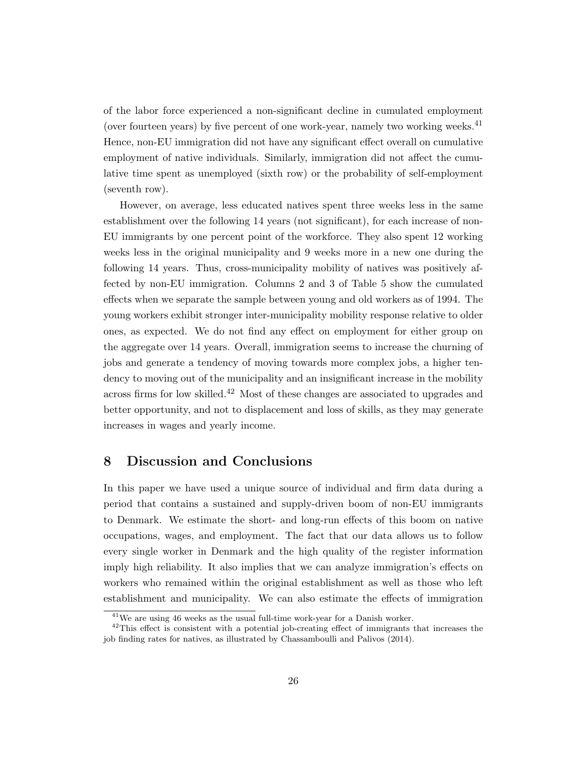of the labor force experienced a non-significant decline in cumulated employment (over fourteen years) by five percent of one work-year, namely two working weeks.<sup>41</sup> Hence, non-EU immigration did not have any significant effect overall on cumulative employment of native individuals. Similarly, immigration did not affect the cumulative time spent as unemployed (sixth row) or the probability of self-employment (seventh row).

However, on average, less educated natives spent three weeks less in the same establishment over the following 14 years (not significant), for each increase of non-EU immigrants by one percent point of the workforce. They also spent 12 working weeks less in the original municipality and 9 weeks more in a new one during the following 14 years. Thus, cross-municipality mobility of natives was positively affected by non-EU immigration. Columns 2 and 3 of Table 5 show the cumulated effects when we separate the sample between young and old workers as of 1994. The young workers exhibit stronger inter-municipality mobility response relative to older ones, as expected. We do not find any effect on employment for either group on the aggregate over 14 years. Overall, immigration seems to increase the churning of jobs and generate a tendency of moving towards more complex jobs, a higher tendency to moving out of the municipality and an insignificant increase in the mobility across firms for low skilled.<sup>42</sup> Most of these changes are associated to upgrades and better opportunity, and not to displacement and loss of skills, as they may generate increases in wages and yearly income.

### 8 Discussion and Conclusions

In this paper we have used a unique source of individual and firm data during a period that contains a sustained and supply-driven boom of non-EU immigrants to Denmark. We estimate the short- and long-run effects of this boom on native occupations, wages, and employment. The fact that our data allows us to follow every single worker in Denmark and the high quality of the register information imply high reliability. It also implies that we can analyze immigration's effects on workers who remained within the original establishment as well as those who left establishment and municipality. We can also estimate the effects of immigration

<sup>41</sup>We are using 46 weeks as the usual full-time work-year for a Danish worker.

 $42$ This effect is consistent with a potential job-creating effect of immigrants that increases the job finding rates for natives, as illustrated by Chassamboulli and Palivos (2014).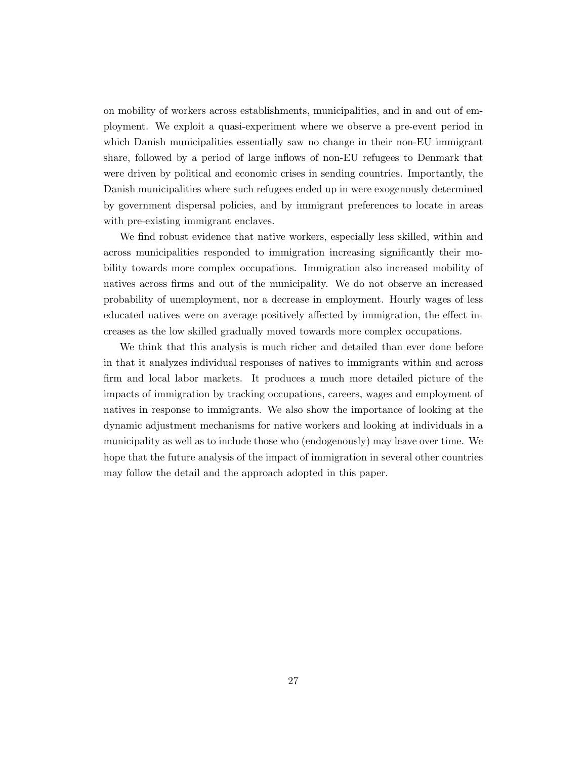on mobility of workers across establishments, municipalities, and in and out of employment. We exploit a quasi-experiment where we observe a pre-event period in which Danish municipalities essentially saw no change in their non-EU immigrant share, followed by a period of large inflows of non-EU refugees to Denmark that were driven by political and economic crises in sending countries. Importantly, the Danish municipalities where such refugees ended up in were exogenously determined by government dispersal policies, and by immigrant preferences to locate in areas with pre-existing immigrant enclaves.

We find robust evidence that native workers, especially less skilled, within and across municipalities responded to immigration increasing significantly their mobility towards more complex occupations. Immigration also increased mobility of natives across firms and out of the municipality. We do not observe an increased probability of unemployment, nor a decrease in employment. Hourly wages of less educated natives were on average positively affected by immigration, the effect increases as the low skilled gradually moved towards more complex occupations.

We think that this analysis is much richer and detailed than ever done before in that it analyzes individual responses of natives to immigrants within and across firm and local labor markets. It produces a much more detailed picture of the impacts of immigration by tracking occupations, careers, wages and employment of natives in response to immigrants. We also show the importance of looking at the dynamic adjustment mechanisms for native workers and looking at individuals in a municipality as well as to include those who (endogenously) may leave over time. We hope that the future analysis of the impact of immigration in several other countries may follow the detail and the approach adopted in this paper.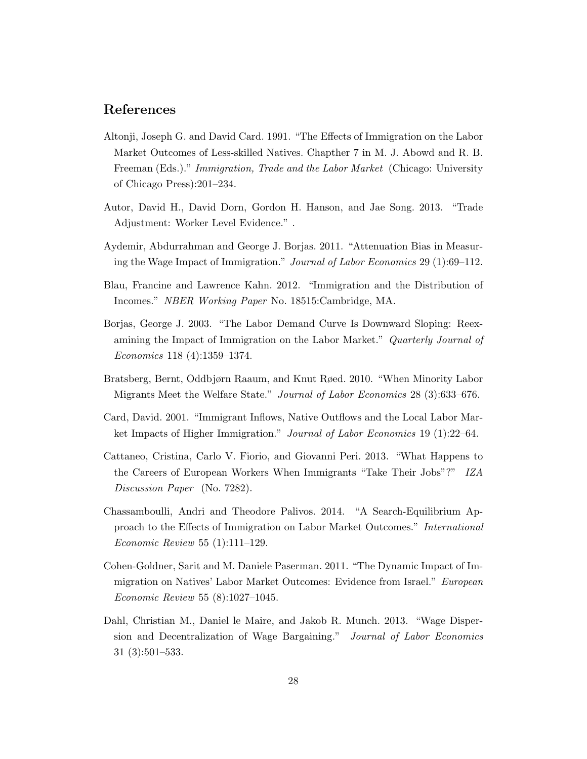## References

- Altonji, Joseph G. and David Card. 1991. "The Effects of Immigration on the Labor Market Outcomes of Less-skilled Natives. Chapther 7 in M. J. Abowd and R. B. Freeman (Eds.)." *Immigration, Trade and the Labor Market* (Chicago: University of Chicago Press):201–234.
- Autor, David H., David Dorn, Gordon H. Hanson, and Jae Song. 2013. "Trade Adjustment: Worker Level Evidence." .
- Aydemir, Abdurrahman and George J. Borjas. 2011. "Attenuation Bias in Measuring the Wage Impact of Immigration." Journal of Labor Economics 29 (1):69–112.
- Blau, Francine and Lawrence Kahn. 2012. "Immigration and the Distribution of Incomes." NBER Working Paper No. 18515:Cambridge, MA.
- Borjas, George J. 2003. "The Labor Demand Curve Is Downward Sloping: Reexamining the Impact of Immigration on the Labor Market." Quarterly Journal of Economics 118 (4):1359–1374.
- Bratsberg, Bernt, Oddbjørn Raaum, and Knut Røed. 2010. "When Minority Labor Migrants Meet the Welfare State." Journal of Labor Economics 28 (3):633–676.
- Card, David. 2001. "Immigrant Inflows, Native Outflows and the Local Labor Market Impacts of Higher Immigration." Journal of Labor Economics 19 (1):22–64.
- Cattaneo, Cristina, Carlo V. Fiorio, and Giovanni Peri. 2013. "What Happens to the Careers of European Workers When Immigrants "Take Their Jobs"?" IZA Discussion Paper (No. 7282).
- Chassamboulli, Andri and Theodore Palivos. 2014. "A Search-Equilibrium Approach to the Effects of Immigration on Labor Market Outcomes." International Economic Review 55 (1):111–129.
- Cohen-Goldner, Sarit and M. Daniele Paserman. 2011. "The Dynamic Impact of Immigration on Natives' Labor Market Outcomes: Evidence from Israel." European Economic Review 55 (8):1027–1045.
- Dahl, Christian M., Daniel le Maire, and Jakob R. Munch. 2013. "Wage Dispersion and Decentralization of Wage Bargaining." Journal of Labor Economics 31 (3):501–533.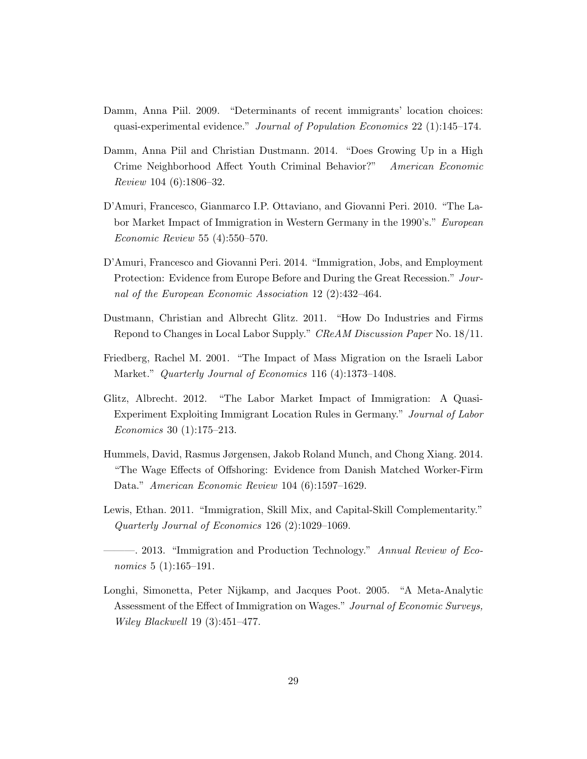- Damm, Anna Piil. 2009. "Determinants of recent immigrants' location choices: quasi-experimental evidence." Journal of Population Economics 22 (1):145–174.
- Damm, Anna Piil and Christian Dustmann. 2014. "Does Growing Up in a High Crime Neighborhood Affect Youth Criminal Behavior?" American Economic Review 104 (6):1806–32.
- D'Amuri, Francesco, Gianmarco I.P. Ottaviano, and Giovanni Peri. 2010. "The Labor Market Impact of Immigration in Western Germany in the 1990's." European Economic Review 55 (4):550–570.
- D'Amuri, Francesco and Giovanni Peri. 2014. "Immigration, Jobs, and Employment Protection: Evidence from Europe Before and During the Great Recession." Journal of the European Economic Association 12 (2):432–464.
- Dustmann, Christian and Albrecht Glitz. 2011. "How Do Industries and Firms Repond to Changes in Local Labor Supply." CReAM Discussion Paper No. 18/11.
- Friedberg, Rachel M. 2001. "The Impact of Mass Migration on the Israeli Labor Market." *Quarterly Journal of Economics* 116 (4):1373-1408.
- Glitz, Albrecht. 2012. "The Labor Market Impact of Immigration: A Quasi-Experiment Exploiting Immigrant Location Rules in Germany." Journal of Labor Economics 30 (1):175–213.
- Hummels, David, Rasmus Jørgensen, Jakob Roland Munch, and Chong Xiang. 2014. "The Wage Effects of Offshoring: Evidence from Danish Matched Worker-Firm Data." American Economic Review 104 (6):1597–1629.
- Lewis, Ethan. 2011. "Immigration, Skill Mix, and Capital-Skill Complementarity." Quarterly Journal of Economics 126 (2):1029–1069.
- —. 2013. "Immigration and Production Technology." Annual Review of Economics 5 (1):165–191.
- Longhi, Simonetta, Peter Nijkamp, and Jacques Poot. 2005. "A Meta-Analytic Assessment of the Effect of Immigration on Wages." Journal of Economic Surveys, Wiley Blackwell 19 (3):451–477.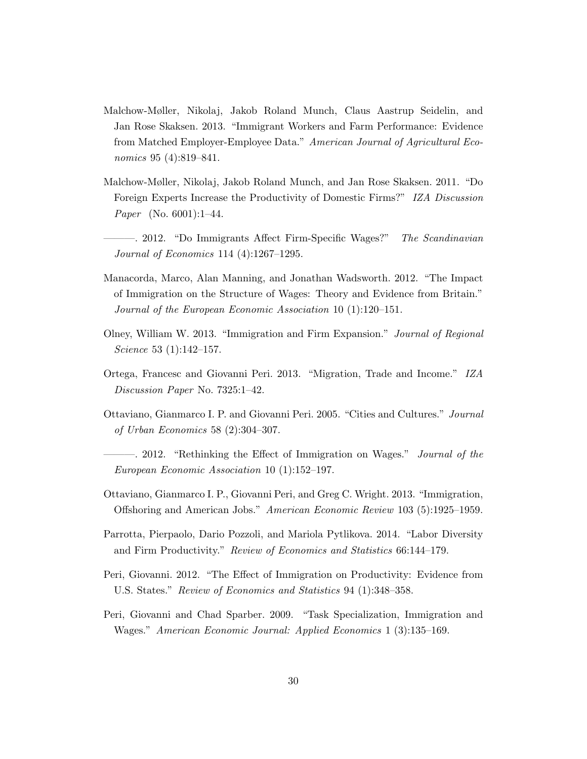- Malchow-Møller, Nikolaj, Jakob Roland Munch, Claus Aastrup Seidelin, and Jan Rose Skaksen. 2013. "Immigrant Workers and Farm Performance: Evidence from Matched Employer-Employee Data." American Journal of Agricultural Economics 95 (4):819-841.
- Malchow-Møller, Nikolaj, Jakob Roland Munch, and Jan Rose Skaksen. 2011. "Do Foreign Experts Increase the Productivity of Domestic Firms?" IZA Discussion Paper (No. 6001):1–44.
- -. 2012. "Do Immigrants Affect Firm-Specific Wages?" The Scandinavian Journal of Economics 114 (4):1267–1295.
- Manacorda, Marco, Alan Manning, and Jonathan Wadsworth. 2012. "The Impact of Immigration on the Structure of Wages: Theory and Evidence from Britain." Journal of the European Economic Association 10 (1):120–151.
- Olney, William W. 2013. "Immigration and Firm Expansion." Journal of Regional Science 53 (1):142–157.
- Ortega, Francesc and Giovanni Peri. 2013. "Migration, Trade and Income." IZA Discussion Paper No. 7325:1–42.
- Ottaviano, Gianmarco I. P. and Giovanni Peri. 2005. "Cities and Cultures." Journal of Urban Economics 58 (2):304–307.
	- $-$ . 2012. "Rethinking the Effect of Immigration on Wages." *Journal of the* European Economic Association 10 (1):152–197.
- Ottaviano, Gianmarco I. P., Giovanni Peri, and Greg C. Wright. 2013. "Immigration, Offshoring and American Jobs." American Economic Review 103 (5):1925–1959.
- Parrotta, Pierpaolo, Dario Pozzoli, and Mariola Pytlikova. 2014. "Labor Diversity and Firm Productivity." Review of Economics and Statistics 66:144–179.
- Peri, Giovanni. 2012. "The Effect of Immigration on Productivity: Evidence from U.S. States." Review of Economics and Statistics 94 (1):348–358.
- Peri, Giovanni and Chad Sparber. 2009. "Task Specialization, Immigration and Wages." American Economic Journal: Applied Economics 1 (3):135–169.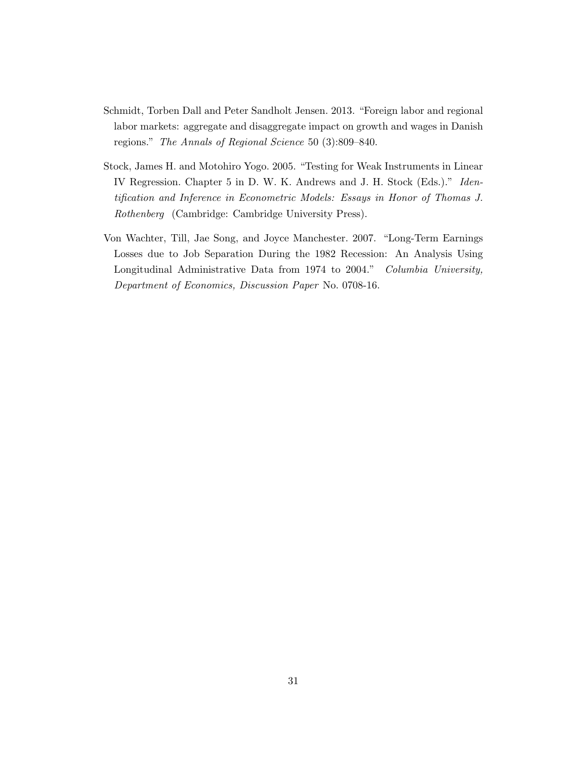- Schmidt, Torben Dall and Peter Sandholt Jensen. 2013. "Foreign labor and regional labor markets: aggregate and disaggregate impact on growth and wages in Danish regions." The Annals of Regional Science 50 (3):809–840.
- Stock, James H. and Motohiro Yogo. 2005. "Testing for Weak Instruments in Linear IV Regression. Chapter 5 in D. W. K. Andrews and J. H. Stock (Eds.)." Identification and Inference in Econometric Models: Essays in Honor of Thomas J. Rothenberg (Cambridge: Cambridge University Press).
- Von Wachter, Till, Jae Song, and Joyce Manchester. 2007. "Long-Term Earnings Losses due to Job Separation During the 1982 Recession: An Analysis Using Longitudinal Administrative Data from 1974 to 2004." Columbia University, Department of Economics, Discussion Paper No. 0708-16.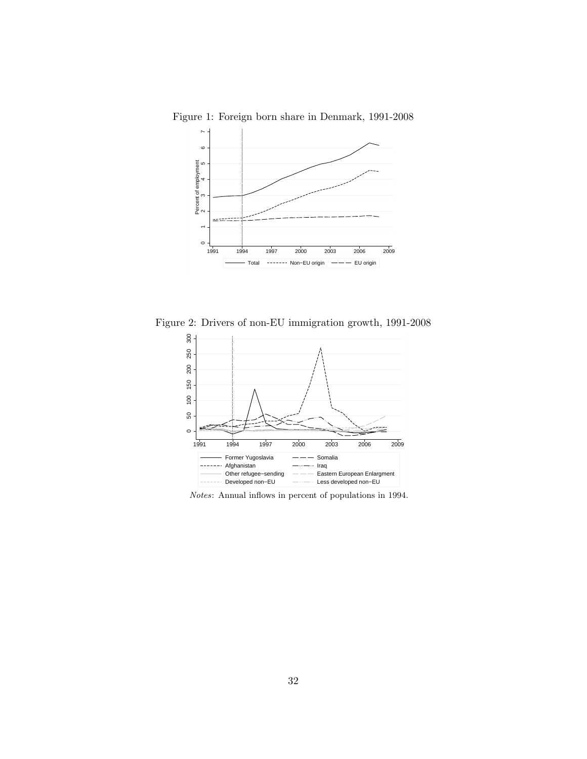

Figure 1: Foreign born share in Denmark, 1991-2008

Figure 2: Drivers of non-EU immigration growth, 1991-2008



Notes: Annual inflows in percent of populations in 1994.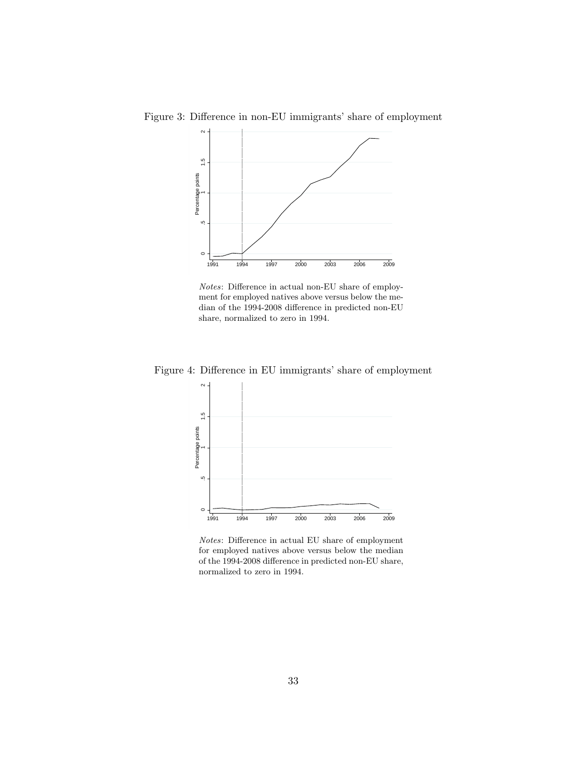

Figure 3: Difference in non-EU immigrants' share of employment

Notes: Difference in actual non-EU share of employment for employed natives above versus below the median of the 1994-2008 difference in predicted non-EU share, normalized to zero in 1994.



Figure 4: Difference in EU immigrants' share of employment

Notes: Difference in actual EU share of employment for employed natives above versus below the median of the 1994-2008 difference in predicted non-EU share, normalized to zero in 1994.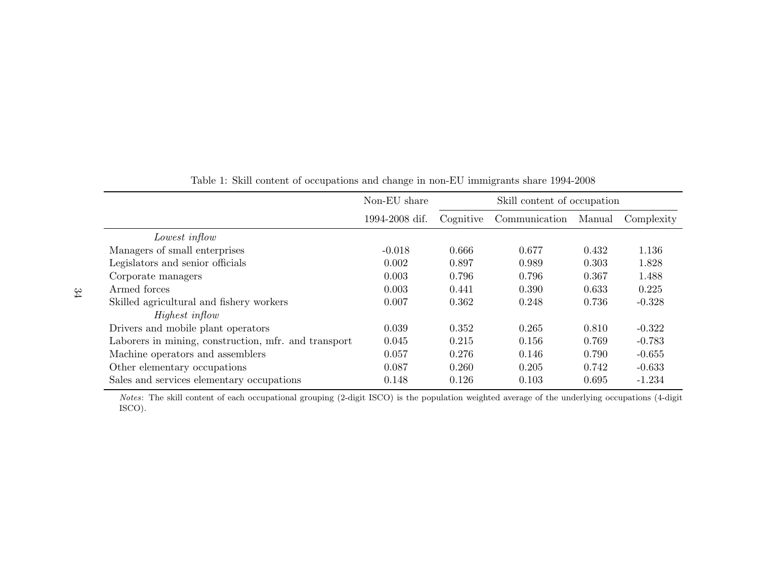|                                                      | Non-EU share   | Skill content of occupation |               |        |            |
|------------------------------------------------------|----------------|-----------------------------|---------------|--------|------------|
|                                                      | 1994-2008 dif. | Cognitive                   | Communication | Manual | Complexity |
| Lowest inflow                                        |                |                             |               |        |            |
| Managers of small enterprises                        | $-0.018$       | 0.666                       | 0.677         | 0.432  | 1.136      |
| Legislators and senior officials                     | 0.002          | 0.897                       | 0.989         | 0.303  | 1.828      |
| Corporate managers                                   | 0.003          | 0.796                       | 0.796         | 0.367  | 1.488      |
| Armed forces                                         | 0.003          | 0.441                       | 0.390         | 0.633  | 0.225      |
| Skilled agricultural and fishery workers             | 0.007          | 0.362                       | 0.248         | 0.736  | $-0.328$   |
| Highest inflow                                       |                |                             |               |        |            |
| Drivers and mobile plant operators                   | 0.039          | 0.352                       | 0.265         | 0.810  | $-0.322$   |
| Laborers in mining, construction, mfr. and transport | 0.045          | 0.215                       | 0.156         | 0.769  | $-0.783$   |
| Machine operators and assemblers                     | 0.057          | 0.276                       | 0.146         | 0.790  | $-0.655$   |
| Other elementary occupations                         | 0.087          | 0.260                       | 0.205         | 0.742  | $-0.633$   |
| Sales and services elementary occupations            | 0.148          | 0.126                       | 0.103         | 0.695  | $-1.234$   |

|  | Table 1: Skill content of occupations and change in non-EU immigrants share 1994-2008 |  |  |
|--|---------------------------------------------------------------------------------------|--|--|
|  |                                                                                       |  |  |

Notes: The skill content of each occupational grouping (2-digit ISCO) is the population weighted average of the underlying occupations (4-digitISCO).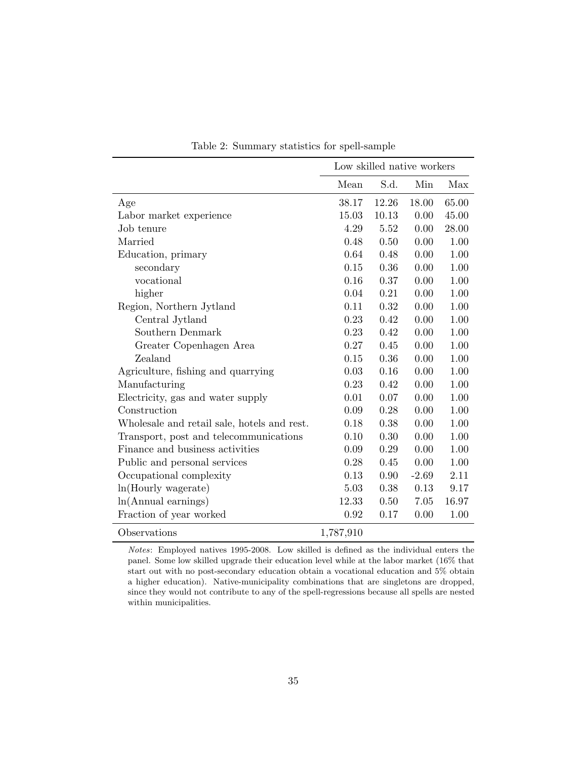|                                             | Low skilled native workers |       |         |       |
|---------------------------------------------|----------------------------|-------|---------|-------|
|                                             | Mean                       | S.d.  | Min     | Max   |
| Age                                         | 38.17                      | 12.26 | 18.00   | 65.00 |
| Labor market experience                     | 15.03                      | 10.13 | 0.00    | 45.00 |
| Job tenure                                  | 4.29                       | 5.52  | 0.00    | 28.00 |
| Married                                     | 0.48                       | 0.50  | 0.00    | 1.00  |
| Education, primary                          | 0.64                       | 0.48  | 0.00    | 1.00  |
| secondary                                   | 0.15                       | 0.36  | 0.00    | 1.00  |
| vocational                                  | 0.16                       | 0.37  | 0.00    | 1.00  |
| higher                                      | 0.04                       | 0.21  | 0.00    | 1.00  |
| Region, Northern Jytland                    | 0.11                       | 0.32  | 0.00    | 1.00  |
| Central Jytland                             | 0.23                       | 0.42  | 0.00    | 1.00  |
| Southern Denmark                            | 0.23                       | 0.42  | 0.00    | 1.00  |
| Greater Copenhagen Area                     | 0.27                       | 0.45  | 0.00    | 1.00  |
| Zealand                                     | 0.15                       | 0.36  | 0.00    | 1.00  |
| Agriculture, fishing and quarrying          | 0.03                       | 0.16  | 0.00    | 1.00  |
| Manufacturing                               | 0.23                       | 0.42  | 0.00    | 1.00  |
| Electricity, gas and water supply           | 0.01                       | 0.07  | 0.00    | 1.00  |
| Construction                                | 0.09                       | 0.28  | 0.00    | 1.00  |
| Wholesale and retail sale, hotels and rest. | 0.18                       | 0.38  | 0.00    | 1.00  |
| Transport, post and telecommunications      | 0.10                       | 0.30  | 0.00    | 1.00  |
| Finance and business activities             | 0.09                       | 0.29  | 0.00    | 1.00  |
| Public and personal services                | 0.28                       | 0.45  | 0.00    | 1.00  |
| Occupational complexity                     | 0.13                       | 0.90  | $-2.69$ | 2.11  |
| ln(Hourly wagerate)                         | 5.03                       | 0.38  | 0.13    | 9.17  |
| $ln(Annual\ earnings)$                      | 12.33                      | 0.50  | 7.05    | 16.97 |
| Fraction of year worked                     | 0.92                       | 0.17  | 0.00    | 1.00  |
| Observations                                | 1,787,910                  |       |         |       |

Table 2: Summary statistics for spell-sample

Notes: Employed natives 1995-2008. Low skilled is defined as the individual enters the panel. Some low skilled upgrade their education level while at the labor market (16% that start out with no post-secondary education obtain a vocational education and 5% obtain a higher education). Native-municipality combinations that are singletons are dropped, since they would not contribute to any of the spell-regressions because all spells are nested within municipalities.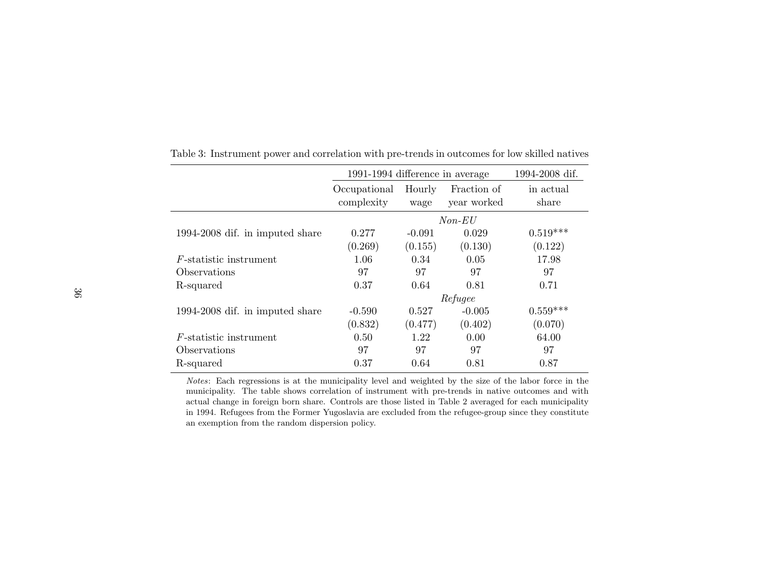|                                 | 1991-1994 difference in average | 1994-2008 dif. |                            |                    |  |  |
|---------------------------------|---------------------------------|----------------|----------------------------|--------------------|--|--|
|                                 | Occupational<br>complexity      | Hourly<br>wage | Fraction of<br>year worked | in actual<br>share |  |  |
|                                 | $Non-EU$                        |                |                            |                    |  |  |
| 1994-2008 dif. in imputed share | 0.277                           | $-0.091$       | 0.029                      | $0.519***$         |  |  |
|                                 | (0.269)                         | (0.155)        | (0.130)                    | (0.122)            |  |  |
| <i>F</i> -statistic instrument  | 1.06                            | 0.34           | 0.05                       | 17.98              |  |  |
| Observations                    | 97                              | 97             | 97                         | 97                 |  |  |
| R-squared                       | 0.37                            | 0.64           | 0.81                       | 0.71               |  |  |
|                                 | Refugee                         |                |                            |                    |  |  |
| 1994-2008 dif. in imputed share | $-0.590$                        | 0.527          | $-0.005$                   | $0.559***$         |  |  |
|                                 | (0.832)                         | (0.477)        | (0.402)                    | (0.070)            |  |  |
| <i>F</i> -statistic instrument  | 0.50                            | 1.22           | 0.00                       | 64.00              |  |  |
| Observations                    | 97                              | 97             | 97                         | 97                 |  |  |
| R-squared                       | 0.37                            | 0.64           | 0.81                       | 0.87               |  |  |

Table 3: Instrument power and correlation with pre-trends in outcomes for low skilled natives

Notes: Each regressions is at the municipality level and weighted by the size of the labor force in the municipality. The table shows correlation of instrument with pre-trends in native outcomes and with actual change in foreign born share. Controls are those listed in Table 2 averaged for each municipality in 1994. Refugees from the Former Yugoslavia are excluded from the refugee-group since they constitutean exemption from the random dispersion policy.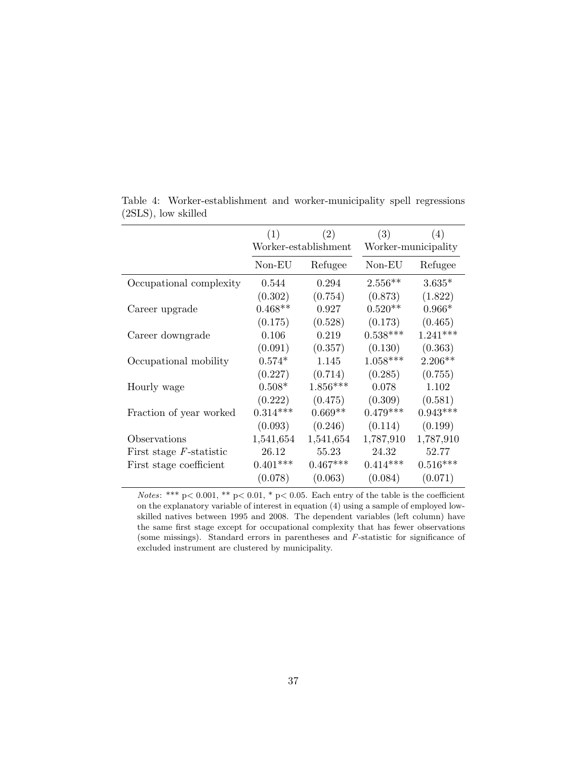|                            | (1)                  | (2)        | (3)                 | (4)        |
|----------------------------|----------------------|------------|---------------------|------------|
|                            | Worker-establishment |            | Worker-municipality |            |
|                            | $Non-EU$             | Refugee    | Non-EU              | Refugee    |
| Occupational complexity    | 0.544                | 0.294      | $2.556**$           | $3.635*$   |
|                            | (0.302)              | (0.754)    | (0.873)             | (1.822)    |
| Career upgrade             | $0.468**$            | 0.927      | $0.520**$           | $0.966*$   |
|                            | (0.175)              | (0.528)    | (0.173)             | (0.465)    |
| Career downgrade           | 0.106                | 0.219      | $0.538***$          | $1.241***$ |
|                            | (0.091)              | (0.357)    | (0.130)             | (0.363)    |
| Occupational mobility      | $0.574*$             | 1.145      | $1.058***$          | $2.206**$  |
|                            | (0.227)              | (0.714)    | (0.285)             | (0.755)    |
| Hourly wage                | $0.508*$             | $1.856***$ | 0.078               | 1.102      |
|                            | (0.222)              | (0.475)    | (0.309)             | (0.581)    |
| Fraction of year worked    | $0.314***$           | $0.669**$  | $0.479***$          | $0.943***$ |
|                            | (0.093)              | (0.246)    | (0.114)             | (0.199)    |
| Observations               | 1,541,654            | 1,541,654  | 1,787,910           | 1,787,910  |
| First stage $F$ -statistic | 26.12                | 55.23      | 24.32               | 52.77      |
| First stage coefficient    | $0.401***$           | $0.467***$ | $0.414***$          | $0.516***$ |
|                            | (0.078)              | (0.063)    | (0.084)             | (0.071)    |

Table 4: Worker-establishment and worker-municipality spell regressions (2SLS), low skilled

Notes: \*\*\*  $p < 0.001$ , \*\*  $p < 0.01$ , \*  $p < 0.05$ . Each entry of the table is the coefficient on the explanatory variable of interest in equation (4) using a sample of employed lowskilled natives between 1995 and 2008. The dependent variables (left column) have the same first stage except for occupational complexity that has fewer observations (some missings). Standard errors in parentheses and F-statistic for significance of excluded instrument are clustered by municipality.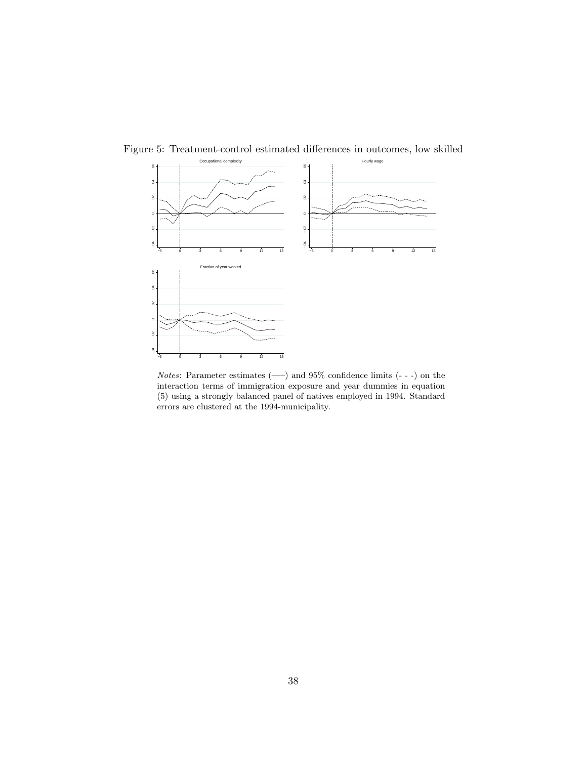

Figure 5: Treatment-control estimated differences in outcomes, low skilled

Notes: Parameter estimates (—–) and 95% confidence limits (- - -) on the interaction terms of immigration exposure and year dummies in equation (5) using a strongly balanced panel of natives employed in 1994. Standard errors are clustered at the 1994-municipality.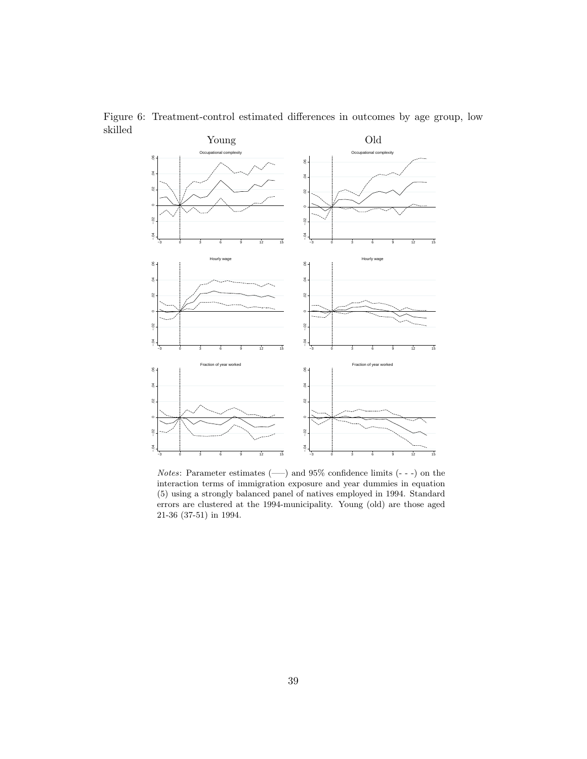

Figure 6: Treatment-control estimated differences in outcomes by age group, low skilled

 $Notes:~Parameters \; (\text{---})$  and  $95\%$  confidence limits  $(\texttt{- -})$  on the interaction terms of immigration exposure and year dummies in equation (5) using a strongly balanced panel of natives employed in 1994. Standard errors are clustered at the 1994-municipality. Young (old) are those aged 21-36 (37-51) in 1994.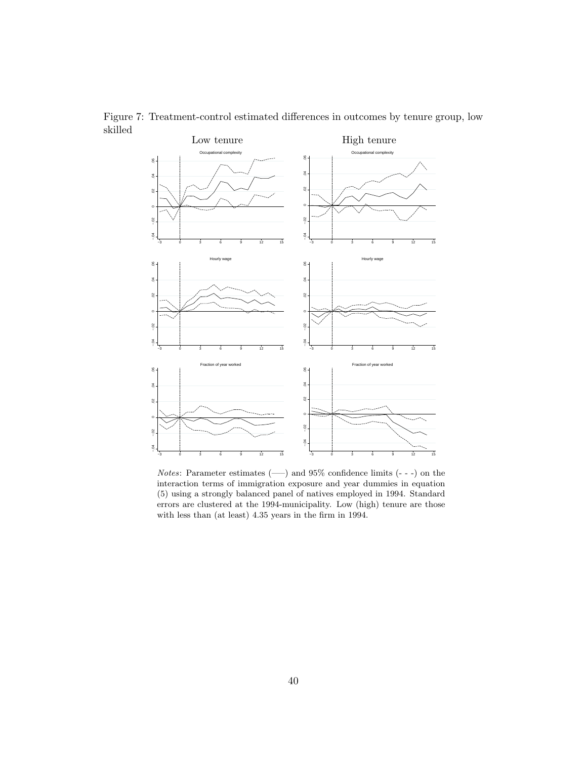

Figure 7: Treatment-control estimated differences in outcomes by tenure group, low skilled

*Notes*: Parameter estimates  $(\underline{\hspace{1cm}})$  and 95% confidence limits  $(- - )$  on the interaction terms of immigration exposure and year dummies in equation (5) using a strongly balanced panel of natives employed in 1994. Standard errors are clustered at the 1994-municipality. Low (high) tenure are those with less than (at least) 4.35 years in the firm in 1994.